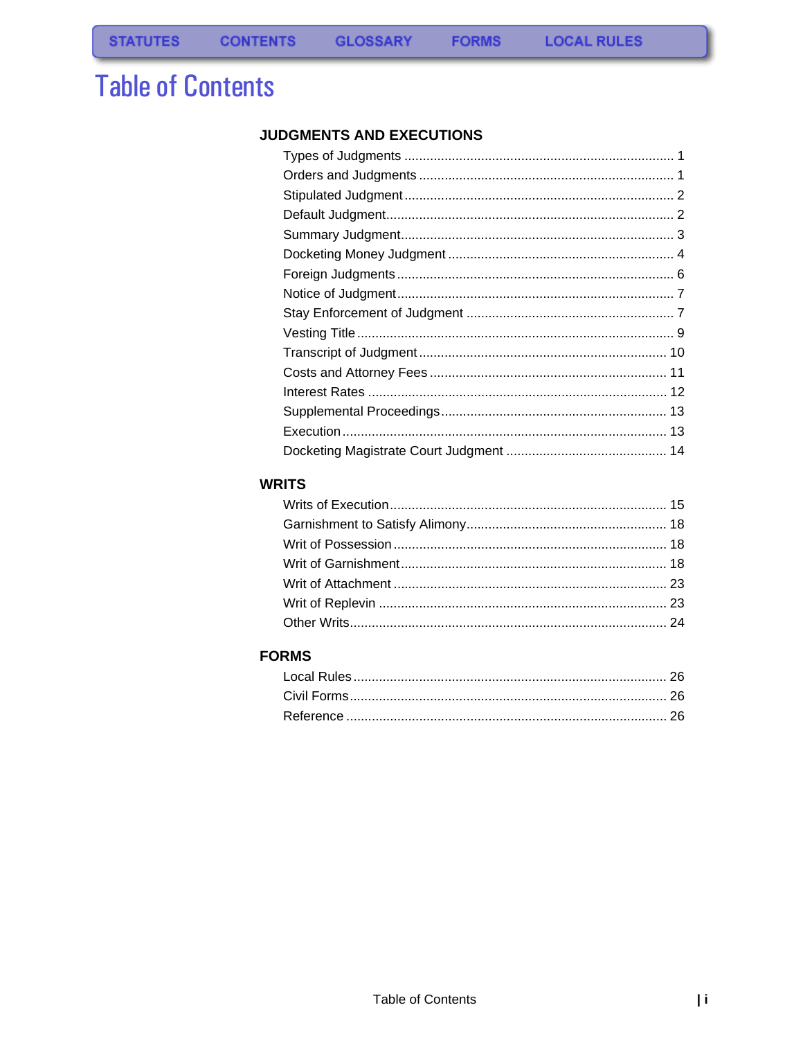# **Table of Contents**

#### JUDGMENTS AND EXECUTIONS

**FORMS** 

#### **WRITS**

### **FORMS**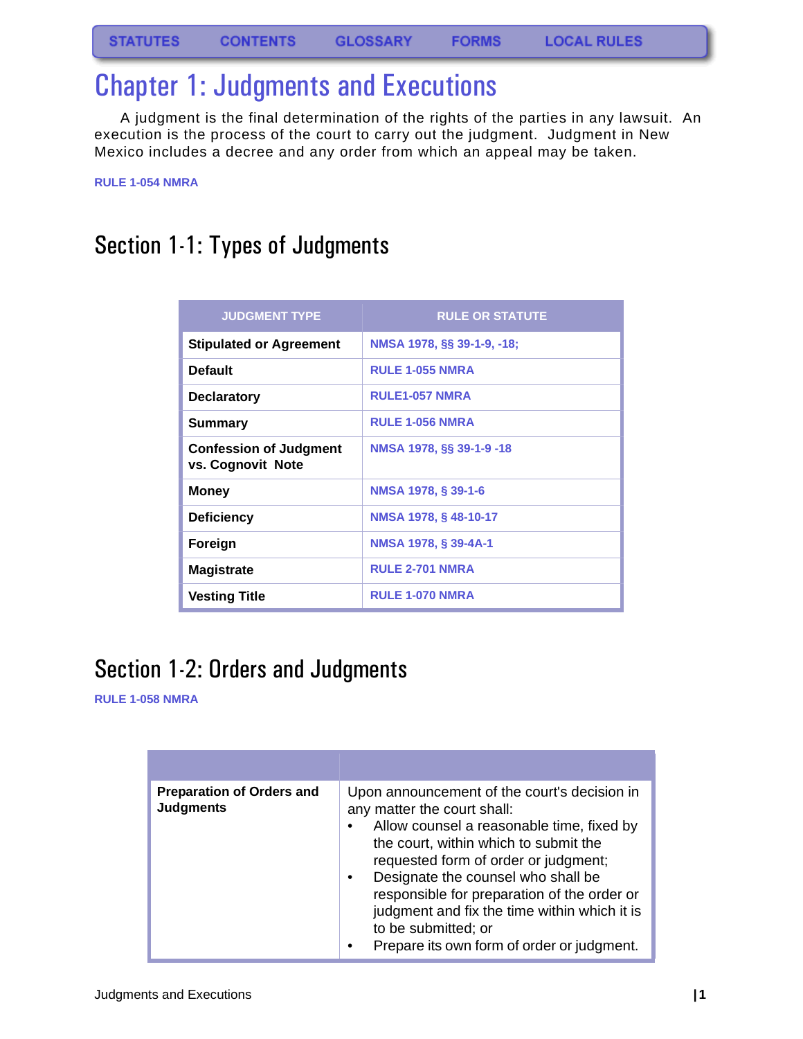# <span id="page-1-0"></span>Chapter 1: Judgments and Executions

A judgment is the final determination of the rights of the parties in any lawsuit. An execution is the process of the court to carry out the judgment. Judgment in New Mexico includes a decree and any order from which an appeal may be taken.

**RULE 1-054 NMRA**

### <span id="page-1-1"></span>Section 1-1: Types of Judgments

| <b>JUDGMENT TYPE</b>                               | <b>RULE OR STATUTE</b>     |
|----------------------------------------------------|----------------------------|
| <b>Stipulated or Agreement</b>                     | NMSA 1978, §§ 39-1-9, -18; |
| <b>Default</b>                                     | <b>RULE 1-055 NMRA</b>     |
| <b>Declaratory</b>                                 | <b>RULE1-057 NMRA</b>      |
| Summary                                            | <b>RULE 1-056 NMRA</b>     |
| <b>Confession of Judgment</b><br>vs. Cognovit Note | NMSA 1978, §§ 39-1-9 -18   |
| <b>Money</b>                                       | NMSA 1978, § 39-1-6        |
| <b>Deficiency</b>                                  | NMSA 1978, § 48-10-17      |
| Foreign                                            | NMSA 1978, § 39-4A-1       |
| <b>Magistrate</b>                                  | <b>RULE 2-701 NMRA</b>     |
| Vesting Title                                      | <b>RULE 1-070 NMRA</b>     |

### <span id="page-1-2"></span>Section 1-2: Orders and Judgments

#### **RULE 1-058 NMRA**

| <b>Preparation of Orders and</b><br><b>Judgments</b> | Upon announcement of the court's decision in<br>any matter the court shall:<br>Allow counsel a reasonable time, fixed by<br>the court, within which to submit the<br>requested form of order or judgment;<br>Designate the counsel who shall be<br>responsible for preparation of the order or<br>judgment and fix the time within which it is<br>to be submitted; or<br>Prepare its own form of order or judgment. |
|------------------------------------------------------|---------------------------------------------------------------------------------------------------------------------------------------------------------------------------------------------------------------------------------------------------------------------------------------------------------------------------------------------------------------------------------------------------------------------|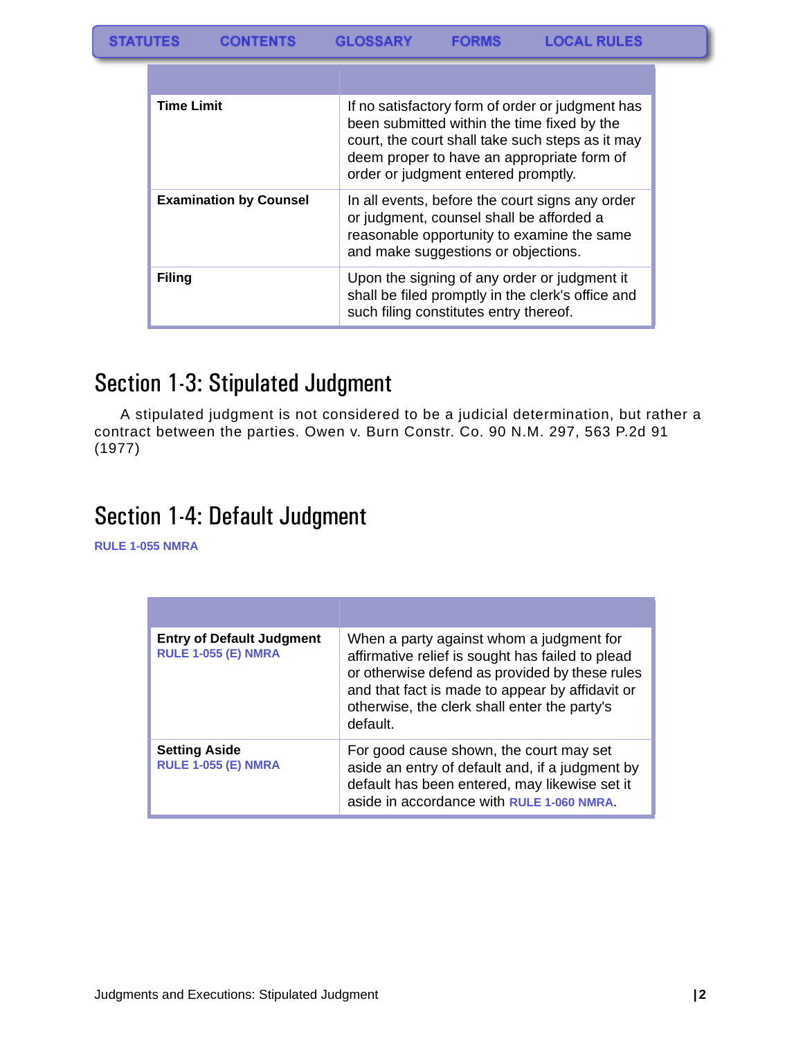| <b>Time Limit</b>             | If no satisfactory form of order or judgment has<br>been submitted within the time fixed by the<br>court, the court shall take such steps as it may<br>deem proper to have an appropriate form of<br>order or judgment entered promptly. |
|-------------------------------|------------------------------------------------------------------------------------------------------------------------------------------------------------------------------------------------------------------------------------------|
| <b>Examination by Counsel</b> | In all events, before the court signs any order<br>or judgment, counsel shall be afforded a<br>reasonable opportunity to examine the same<br>and make suggestions or objections.                                                         |
| Filing                        | Upon the signing of any order or judgment it<br>shall be filed promptly in the clerk's office and<br>such filing constitutes entry thereof.                                                                                              |

### <span id="page-2-0"></span>Section 1-3: Stipulated Judgment

A stipulated judgment is not considered to be a judicial determination, but rather a contract between the parties. Owen v. Burn Constr. Co. 90 N.M. 297, 563 P.2d 91 (1977)

### <span id="page-2-1"></span>Section 1-4: Default Judgment

**RULE 1-055 NMRA**

| <b>Entry of Default Judgment</b><br><b>RULE 1-055 (E) NMRA</b> | When a party against whom a judgment for<br>affirmative relief is sought has failed to plead<br>or otherwise defend as provided by these rules<br>and that fact is made to appear by affidavit or<br>otherwise, the clerk shall enter the party's<br>default. |
|----------------------------------------------------------------|---------------------------------------------------------------------------------------------------------------------------------------------------------------------------------------------------------------------------------------------------------------|
| <b>Setting Aside</b><br><b>RULE 1-055 (E) NMRA</b>             | For good cause shown, the court may set<br>aside an entry of default and, if a judgment by<br>default has been entered, may likewise set it<br>aside in accordance with RULE 1-060 NMRA.                                                                      |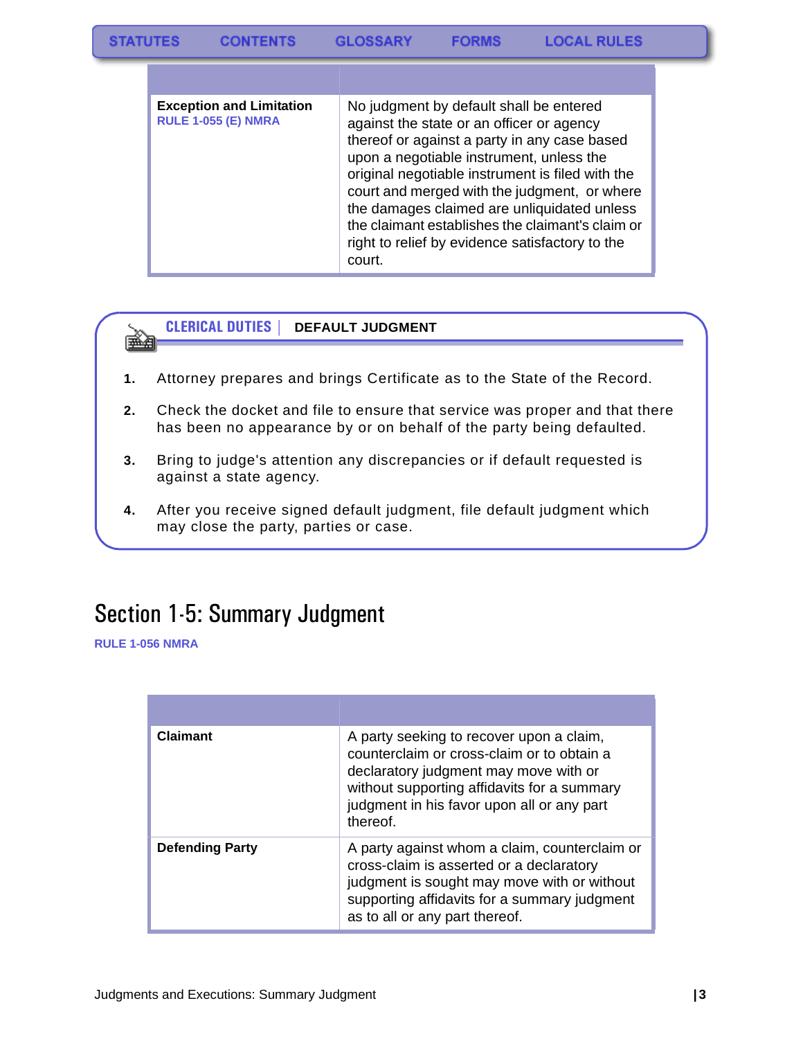| <b>Exception and Limitation</b><br><b>RULE 1-055 (E) NMRA</b> | No judgment by default shall be entered<br>against the state or an officer or agency<br>thereof or against a party in any case based<br>upon a negotiable instrument, unless the<br>original negotiable instrument is filed with the<br>court and merged with the judgment, or where<br>the damages claimed are unliquidated unless<br>the claimant establishes the claimant's claim or<br>right to relief by evidence satisfactory to the<br>court. |
|---------------------------------------------------------------|------------------------------------------------------------------------------------------------------------------------------------------------------------------------------------------------------------------------------------------------------------------------------------------------------------------------------------------------------------------------------------------------------------------------------------------------------|



#### **CLERICAL DUTIES | DEFAULT JUDGMENT**

- **1.** Attorney prepares and brings Certificate as to the State of the Record.
- **2.** Check the docket and file to ensure that service was proper and that there has been no appearance by or on behalf of the party being defaulted.
- **3.** Bring to judge's attention any discrepancies or if default requested is against a state agency.
- **4.** After you receive signed default judgment, file default judgment which may close the party, parties or case.

### <span id="page-3-0"></span>Section 1-5: Summary Judgment

**RULE 1-056 NMRA**

| <b>Claimant</b>        | A party seeking to recover upon a claim,<br>counterclaim or cross-claim or to obtain a<br>declaratory judgment may move with or<br>without supporting affidavits for a summary<br>judgment in his favor upon all or any part<br>thereof. |
|------------------------|------------------------------------------------------------------------------------------------------------------------------------------------------------------------------------------------------------------------------------------|
| <b>Defending Party</b> | A party against whom a claim, counterclaim or<br>cross-claim is asserted or a declaratory<br>judgment is sought may move with or without<br>supporting affidavits for a summary judgment<br>as to all or any part thereof.               |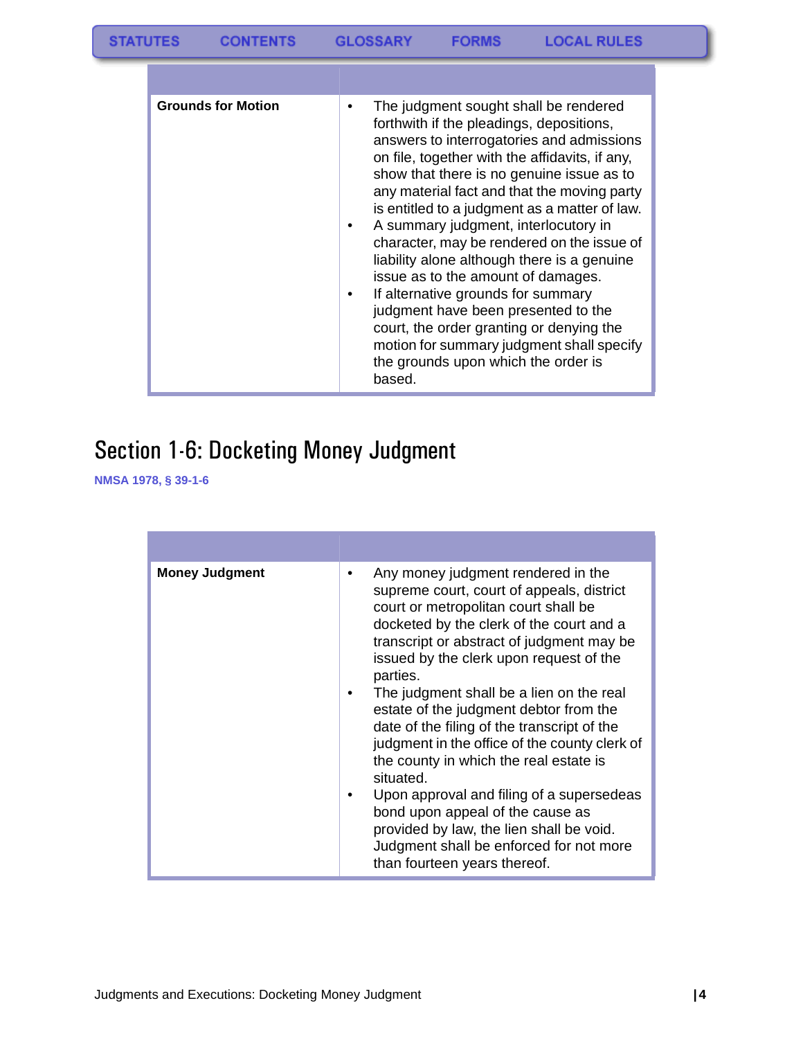| <b>Grounds for Motion</b> | The judgment sought shall be rendered<br>forthwith if the pleadings, depositions,<br>answers to interrogatories and admissions<br>on file, together with the affidavits, if any,<br>show that there is no genuine issue as to<br>any material fact and that the moving party<br>is entitled to a judgment as a matter of law.<br>A summary judgment, interlocutory in<br>character, may be rendered on the issue of<br>liability alone although there is a genuine<br>issue as to the amount of damages.<br>If alternative grounds for summary<br>judgment have been presented to the<br>court, the order granting or denying the<br>motion for summary judgment shall specify<br>the grounds upon which the order is<br>based. |
|---------------------------|---------------------------------------------------------------------------------------------------------------------------------------------------------------------------------------------------------------------------------------------------------------------------------------------------------------------------------------------------------------------------------------------------------------------------------------------------------------------------------------------------------------------------------------------------------------------------------------------------------------------------------------------------------------------------------------------------------------------------------|

# <span id="page-4-0"></span>Section 1-6: Docketing Money Judgment

**NMSA 1978, § 39-1-6**

| <b>Money Judgment</b> | Any money judgment rendered in the<br>supreme court, court of appeals, district<br>court or metropolitan court shall be<br>docketed by the clerk of the court and a<br>transcript or abstract of judgment may be<br>issued by the clerk upon request of the<br>parties.<br>The judgment shall be a lien on the real<br>estate of the judgment debtor from the<br>date of the filing of the transcript of the<br>judgment in the office of the county clerk of<br>the county in which the real estate is<br>situated.<br>Upon approval and filing of a supersedeas<br>bond upon appeal of the cause as<br>provided by law, the lien shall be void.<br>Judgment shall be enforced for not more<br>than fourteen years thereof. |
|-----------------------|------------------------------------------------------------------------------------------------------------------------------------------------------------------------------------------------------------------------------------------------------------------------------------------------------------------------------------------------------------------------------------------------------------------------------------------------------------------------------------------------------------------------------------------------------------------------------------------------------------------------------------------------------------------------------------------------------------------------------|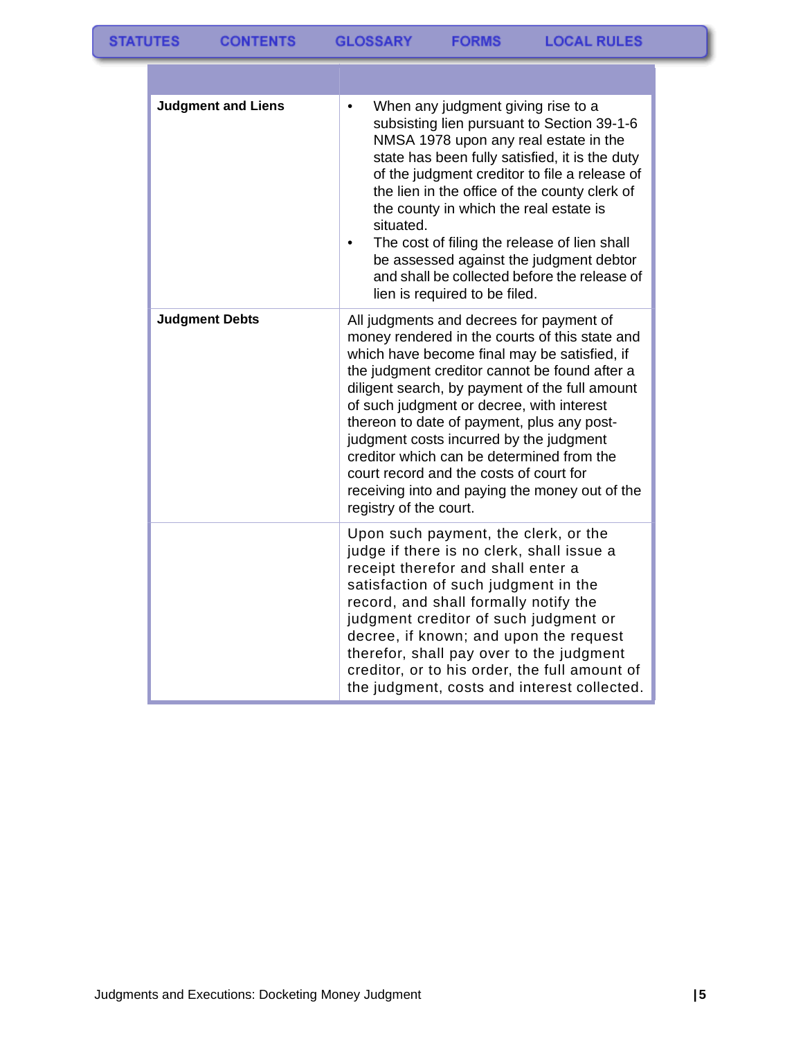| <b>Judgment and Liens</b> | When any judgment giving rise to a<br>$\bullet$<br>subsisting lien pursuant to Section 39-1-6<br>NMSA 1978 upon any real estate in the<br>state has been fully satisfied, it is the duty<br>of the judgment creditor to file a release of<br>the lien in the office of the county clerk of<br>the county in which the real estate is<br>situated.<br>The cost of filing the release of lien shall<br>be assessed against the judgment debtor<br>and shall be collected before the release of<br>lien is required to be filed.                           |
|---------------------------|---------------------------------------------------------------------------------------------------------------------------------------------------------------------------------------------------------------------------------------------------------------------------------------------------------------------------------------------------------------------------------------------------------------------------------------------------------------------------------------------------------------------------------------------------------|
| <b>Judgment Debts</b>     | All judgments and decrees for payment of<br>money rendered in the courts of this state and<br>which have become final may be satisfied, if<br>the judgment creditor cannot be found after a<br>diligent search, by payment of the full amount<br>of such judgment or decree, with interest<br>thereon to date of payment, plus any post-<br>judgment costs incurred by the judgment<br>creditor which can be determined from the<br>court record and the costs of court for<br>receiving into and paying the money out of the<br>registry of the court. |
|                           | Upon such payment, the clerk, or the<br>judge if there is no clerk, shall issue a<br>receipt therefor and shall enter a<br>satisfaction of such judgment in the<br>record, and shall formally notify the<br>judgment creditor of such judgment or<br>decree, if known; and upon the request<br>therefor, shall pay over to the judgment<br>creditor, or to his order, the full amount of<br>the judgment, costs and interest collected.                                                                                                                 |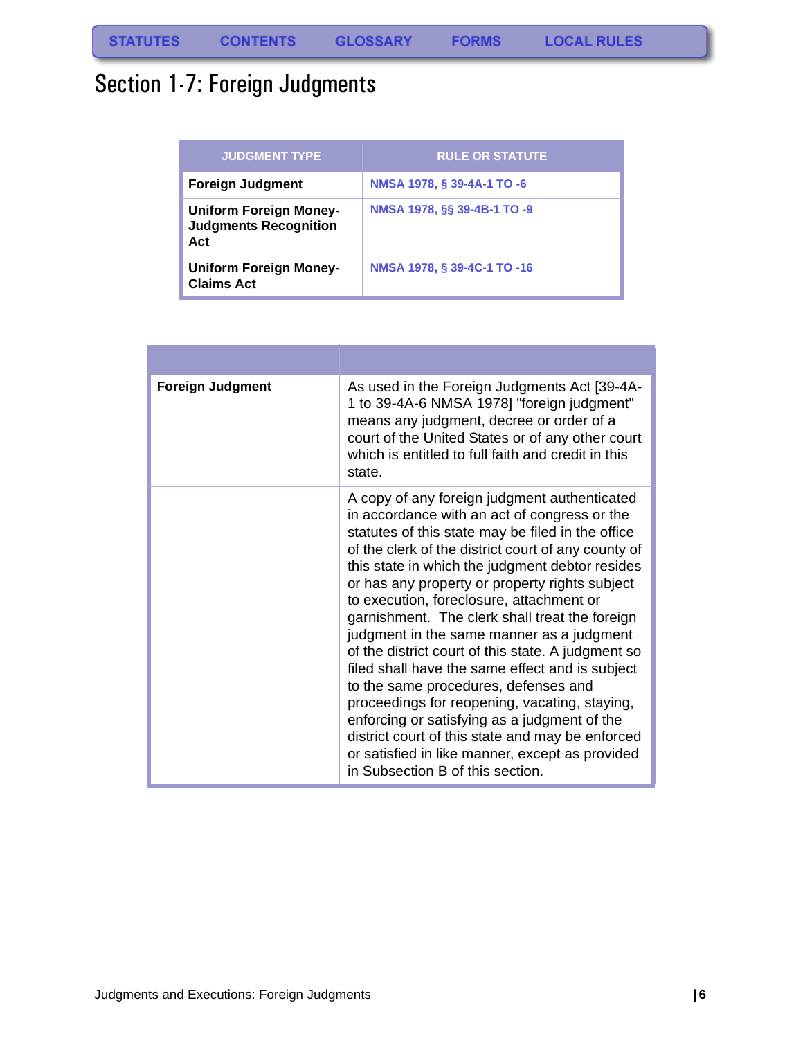# <span id="page-6-0"></span>Section 1-7: Foreign Judgments

| <b>JUDGMENT TYPE</b>                                                 | <b>RULE OR STATUTE</b>      |
|----------------------------------------------------------------------|-----------------------------|
| <b>Foreign Judgment</b>                                              | NMSA 1978, § 39-4A-1 TO -6  |
| <b>Uniform Foreign Money-</b><br><b>Judgments Recognition</b><br>Act | NMSA 1978, §§ 39-4B-1 TO -9 |
| <b>Uniform Foreign Money-</b><br><b>Claims Act</b>                   | NMSA 1978, § 39-4C-1 TO -16 |

| <b>Foreign Judgment</b> | As used in the Foreign Judgments Act [39-4A-<br>1 to 39-4A-6 NMSA 1978] "foreign judgment"<br>means any judgment, decree or order of a<br>court of the United States or of any other court<br>which is entitled to full faith and credit in this<br>state.                                                                                                                                                                                                                                                                                                                                                                                                                                                                                                                                                                                            |
|-------------------------|-------------------------------------------------------------------------------------------------------------------------------------------------------------------------------------------------------------------------------------------------------------------------------------------------------------------------------------------------------------------------------------------------------------------------------------------------------------------------------------------------------------------------------------------------------------------------------------------------------------------------------------------------------------------------------------------------------------------------------------------------------------------------------------------------------------------------------------------------------|
|                         | A copy of any foreign judgment authenticated<br>in accordance with an act of congress or the<br>statutes of this state may be filed in the office<br>of the clerk of the district court of any county of<br>this state in which the judgment debtor resides<br>or has any property or property rights subject<br>to execution, foreclosure, attachment or<br>garnishment. The clerk shall treat the foreign<br>judgment in the same manner as a judgment<br>of the district court of this state. A judgment so<br>filed shall have the same effect and is subject<br>to the same procedures, defenses and<br>proceedings for reopening, vacating, staying,<br>enforcing or satisfying as a judgment of the<br>district court of this state and may be enforced<br>or satisfied in like manner, except as provided<br>in Subsection B of this section. |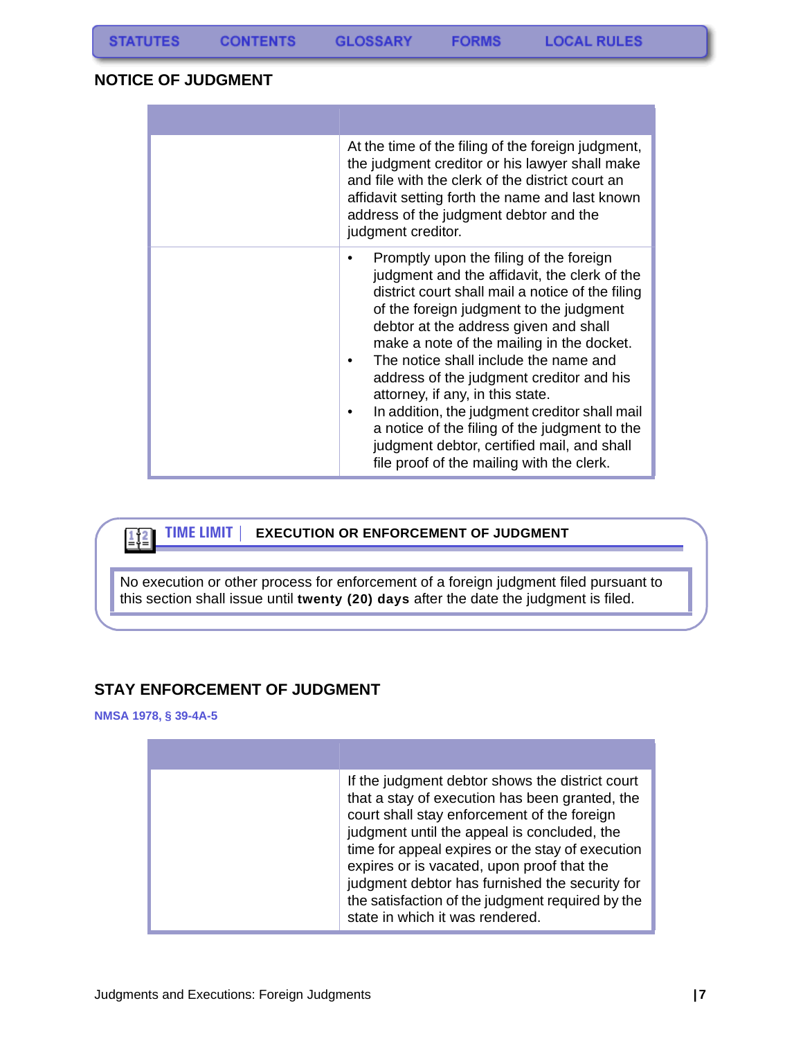**CONTENTS** 

**FORMS** 

#### <span id="page-7-0"></span>**NOTICE OF JUDGMENT**

| At the time of the filing of the foreign judgment,<br>the judgment creditor or his lawyer shall make<br>and file with the clerk of the district court an<br>affidavit setting forth the name and last known<br>address of the judgment debtor and the<br>judgment creditor.                                                                                                                                                                                                                                                                                                                             |
|---------------------------------------------------------------------------------------------------------------------------------------------------------------------------------------------------------------------------------------------------------------------------------------------------------------------------------------------------------------------------------------------------------------------------------------------------------------------------------------------------------------------------------------------------------------------------------------------------------|
| Promptly upon the filing of the foreign<br>judgment and the affidavit, the clerk of the<br>district court shall mail a notice of the filing<br>of the foreign judgment to the judgment<br>debtor at the address given and shall<br>make a note of the mailing in the docket.<br>The notice shall include the name and<br>٠<br>address of the judgment creditor and his<br>attorney, if any, in this state.<br>In addition, the judgment creditor shall mail<br>a notice of the filing of the judgment to the<br>judgment debtor, certified mail, and shall<br>file proof of the mailing with the clerk. |

#### **TIME LIMIT | EXECUTION OR ENFORCEMENT OF JUDGMENT**  $\boxed{1}$

No execution or other process for enforcement of a foreign judgment filed pursuant to this section shall issue until **twenty (20) days** after the date the judgment is filed.

### <span id="page-7-1"></span>**STAY ENFORCEMENT OF JUDGMENT**

#### **NMSA 1978, § 39-4A-5**

| If the judgment debtor shows the district court<br>that a stay of execution has been granted, the<br>court shall stay enforcement of the foreign<br>judgment until the appeal is concluded, the<br>time for appeal expires or the stay of execution<br>expires or is vacated, upon proof that the<br>judgment debtor has furnished the security for<br>the satisfaction of the judgment required by the<br>state in which it was rendered. |
|--------------------------------------------------------------------------------------------------------------------------------------------------------------------------------------------------------------------------------------------------------------------------------------------------------------------------------------------------------------------------------------------------------------------------------------------|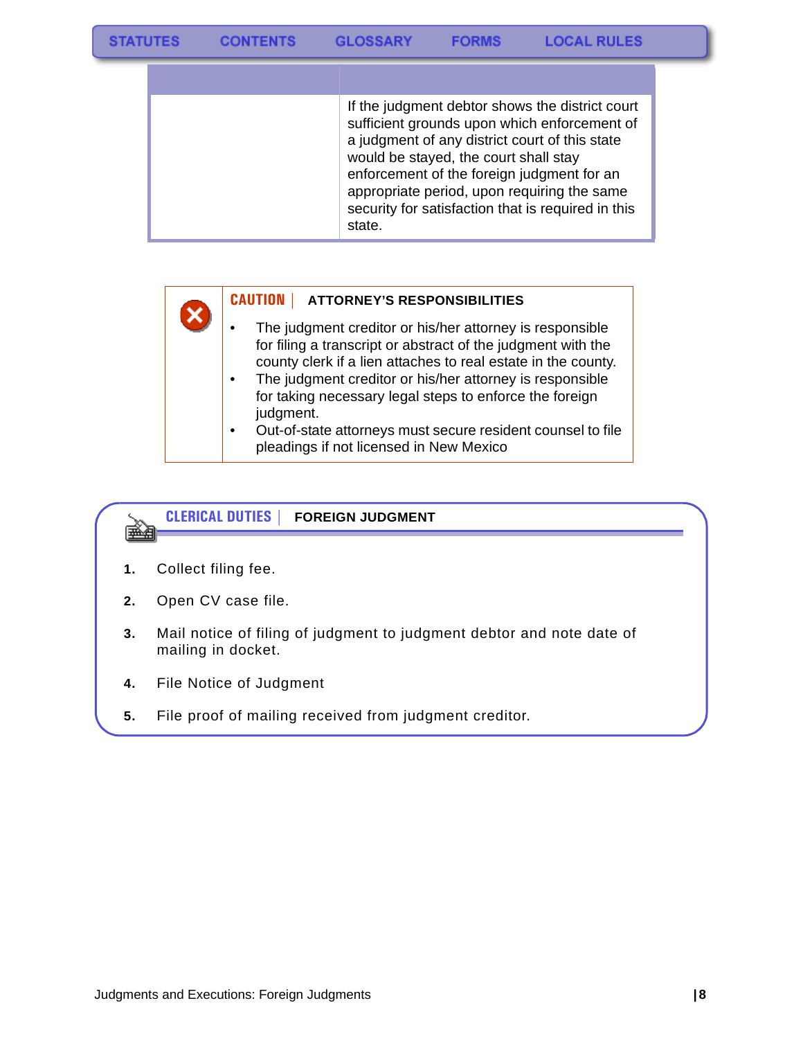| If the judgment debtor shows the district court<br>sufficient grounds upon which enforcement of<br>a judgment of any district court of this state<br>would be stayed, the court shall stay<br>enforcement of the foreign judgment for an<br>appropriate period, upon requiring the same<br>security for satisfaction that is required in this<br>state. |
|---------------------------------------------------------------------------------------------------------------------------------------------------------------------------------------------------------------------------------------------------------------------------------------------------------------------------------------------------------|

### **CAUTION | ATTORNEY'S RESPONSIBILITIES**

- The judgment creditor or his/her attorney is responsible for filing a transcript or abstract of the judgment with the county clerk if a lien attaches to real estate in the county.
- The judgment creditor or his/her attorney is responsible for taking necessary legal steps to enforce the foreign judgment.
- Out-of-state attorneys must secure resident counsel to file pleadings if not licensed in New Mexico

#### **CLERICAL DUTIES | FOREIGN JUDGMENT** ém

- **1.** Collect filing fee.
- **2.** Open CV case file.
- **3.** Mail notice of filing of judgment to judgment debtor and note date of mailing in docket.
- **4.** File Notice of Judgment
- **5.** File proof of mailing received from judgment creditor.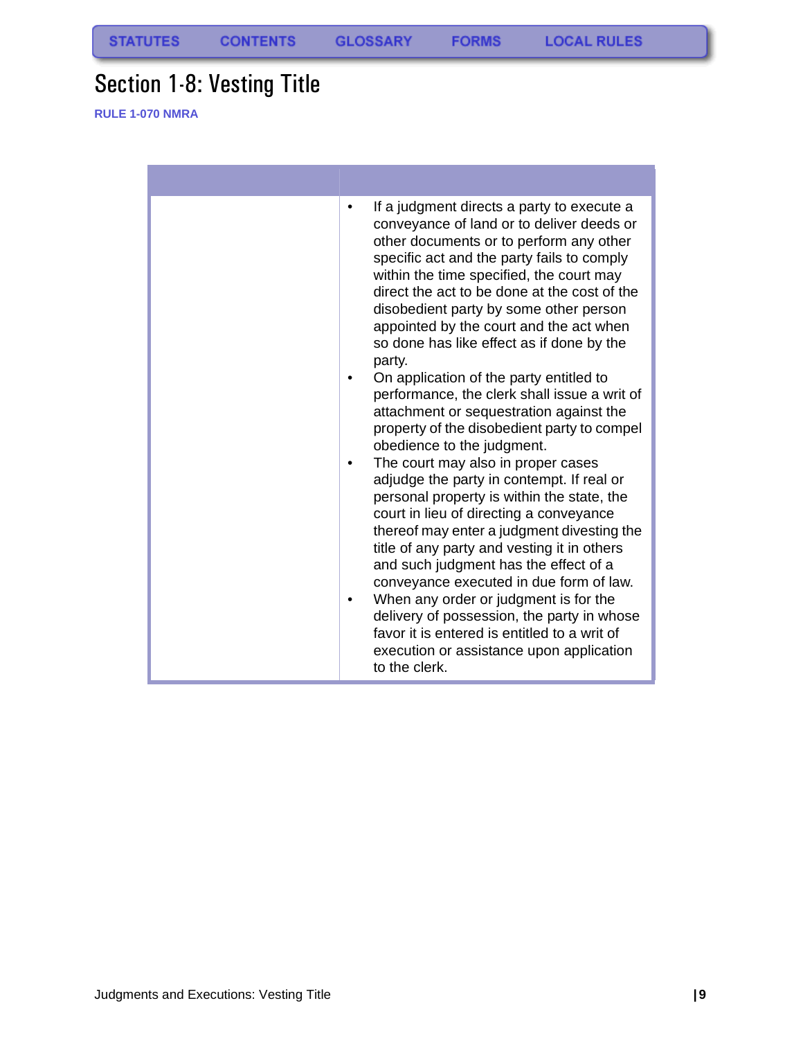**FORMS** 

# <span id="page-9-0"></span>Section 1-8: Vesting Title

**RULE 1-070 NMRA**

| If a judgment directs a party to execute a<br>$\bullet$<br>conveyance of land or to deliver deeds or<br>other documents or to perform any other<br>specific act and the party fails to comply<br>within the time specified, the court may<br>direct the act to be done at the cost of the<br>disobedient party by some other person<br>appointed by the court and the act when<br>so done has like effect as if done by the<br>party.<br>On application of the party entitled to<br>performance, the clerk shall issue a writ of<br>attachment or sequestration against the<br>property of the disobedient party to compel<br>obedience to the judgment.<br>The court may also in proper cases<br>adjudge the party in contempt. If real or<br>personal property is within the state, the<br>court in lieu of directing a conveyance<br>thereof may enter a judgment divesting the<br>title of any party and vesting it in others<br>and such judgment has the effect of a<br>conveyance executed in due form of law.<br>When any order or judgment is for the<br>delivery of possession, the party in whose<br>favor it is entered is entitled to a writ of |
|--------------------------------------------------------------------------------------------------------------------------------------------------------------------------------------------------------------------------------------------------------------------------------------------------------------------------------------------------------------------------------------------------------------------------------------------------------------------------------------------------------------------------------------------------------------------------------------------------------------------------------------------------------------------------------------------------------------------------------------------------------------------------------------------------------------------------------------------------------------------------------------------------------------------------------------------------------------------------------------------------------------------------------------------------------------------------------------------------------------------------------------------------------------|
| execution or assistance upon application<br>to the clerk.                                                                                                                                                                                                                                                                                                                                                                                                                                                                                                                                                                                                                                                                                                                                                                                                                                                                                                                                                                                                                                                                                                    |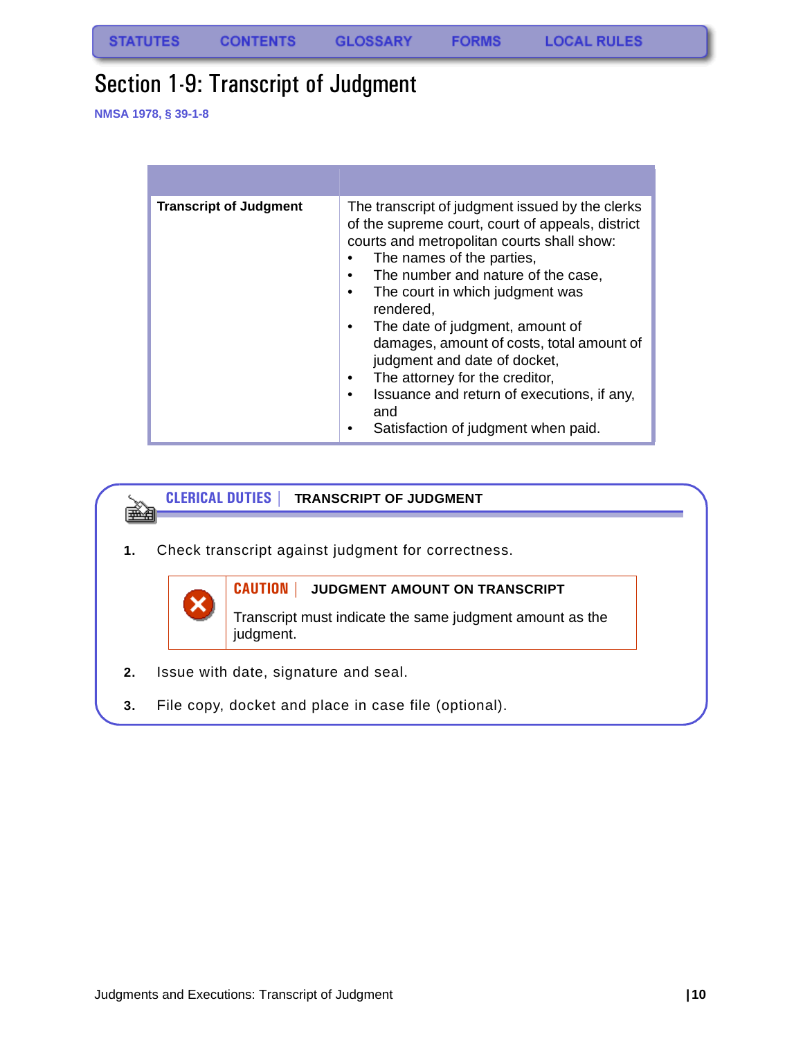### <span id="page-10-0"></span>Section 1-9: Transcript of Judgment

**NMSA 1978, § 39-1-8**

| <b>Transcript of Judgment</b> | The transcript of judgment issued by the clerks<br>of the supreme court, court of appeals, district<br>courts and metropolitan courts shall show:<br>The names of the parties,<br>The number and nature of the case,<br>The court in which judgment was<br>rendered,<br>The date of judgment, amount of<br>damages, amount of costs, total amount of<br>judgment and date of docket,<br>The attorney for the creditor,<br>Issuance and return of executions, if any,<br>and<br>Satisfaction of judgment when paid. |
|-------------------------------|--------------------------------------------------------------------------------------------------------------------------------------------------------------------------------------------------------------------------------------------------------------------------------------------------------------------------------------------------------------------------------------------------------------------------------------------------------------------------------------------------------------------|

#### **CLERICAL DUTIES | TRANSCRIPT OF JUDGMENT** eman partido por la provincia de la provincia de la provincia de la provincia de la provincia de la provincia <br>De la provincia de la provincia de la provincia de la provincia de la provincia de la provincia de la provinci<br>

**1.** Check transcript against judgment for correctness.



### **CAUTION | JUDGMENT AMOUNT ON TRANSCRIPT**

Transcript must indicate the same judgment amount as the judgment.

- **2.** Issue with date, signature and seal.
- **3.** File copy, docket and place in case file (optional).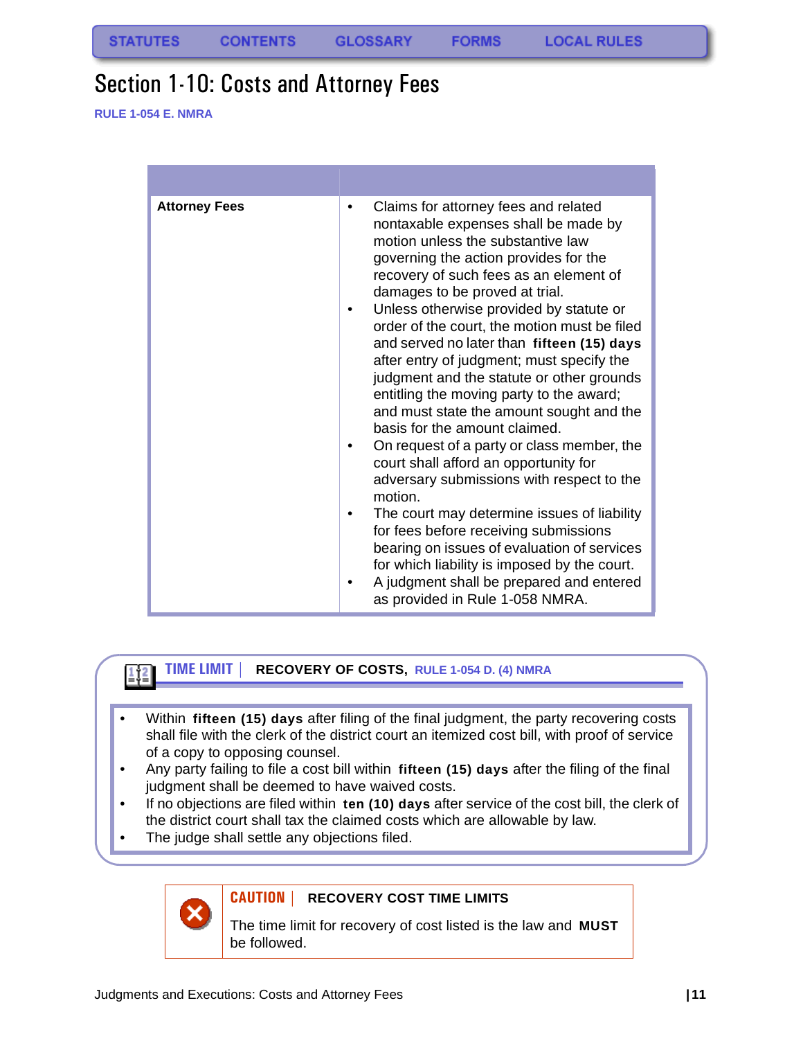### <span id="page-11-0"></span>Section 1-10: Costs and Attorney Fees

**RULE 1-054 E. NMRA**

| <b>Attorney Fees</b> | Claims for attorney fees and related<br>٠<br>nontaxable expenses shall be made by<br>motion unless the substantive law<br>governing the action provides for the<br>recovery of such fees as an element of<br>damages to be proved at trial.<br>Unless otherwise provided by statute or<br>order of the court, the motion must be filed<br>and served no later than fifteen (15) days<br>after entry of judgment; must specify the<br>judgment and the statute or other grounds<br>entitling the moving party to the award;<br>and must state the amount sought and the<br>basis for the amount claimed.<br>On request of a party or class member, the<br>court shall afford an opportunity for<br>adversary submissions with respect to the<br>motion.<br>The court may determine issues of liability<br>for fees before receiving submissions<br>bearing on issues of evaluation of services<br>for which liability is imposed by the court.<br>A judgment shall be prepared and entered<br>as provided in Rule 1-058 NMRA. |
|----------------------|------------------------------------------------------------------------------------------------------------------------------------------------------------------------------------------------------------------------------------------------------------------------------------------------------------------------------------------------------------------------------------------------------------------------------------------------------------------------------------------------------------------------------------------------------------------------------------------------------------------------------------------------------------------------------------------------------------------------------------------------------------------------------------------------------------------------------------------------------------------------------------------------------------------------------------------------------------------------------------------------------------------------------|

#### **TIME LIMIT | RECOVERY OF COSTS, RULE 1-054 D. (4) NMRA**

- Within **fifteen (15) days** after filing of the final judgment, the party recovering costs shall file with the clerk of the district court an itemized cost bill, with proof of service of a copy to opposing counsel.
- Any party failing to file a cost bill within **fifteen (15) days** after the filing of the final judgment shall be deemed to have waived costs.
- If no objections are filed within **ten (10) days** after service of the cost bill, the clerk of the district court shall tax the claimed costs which are allowable by law.
- The judge shall settle any objections filed.



 $1/2$ 

### **CAUTION | RECOVERY COST TIME LIMITS**

The time limit for recovery of cost listed is the law and **MUST** be followed.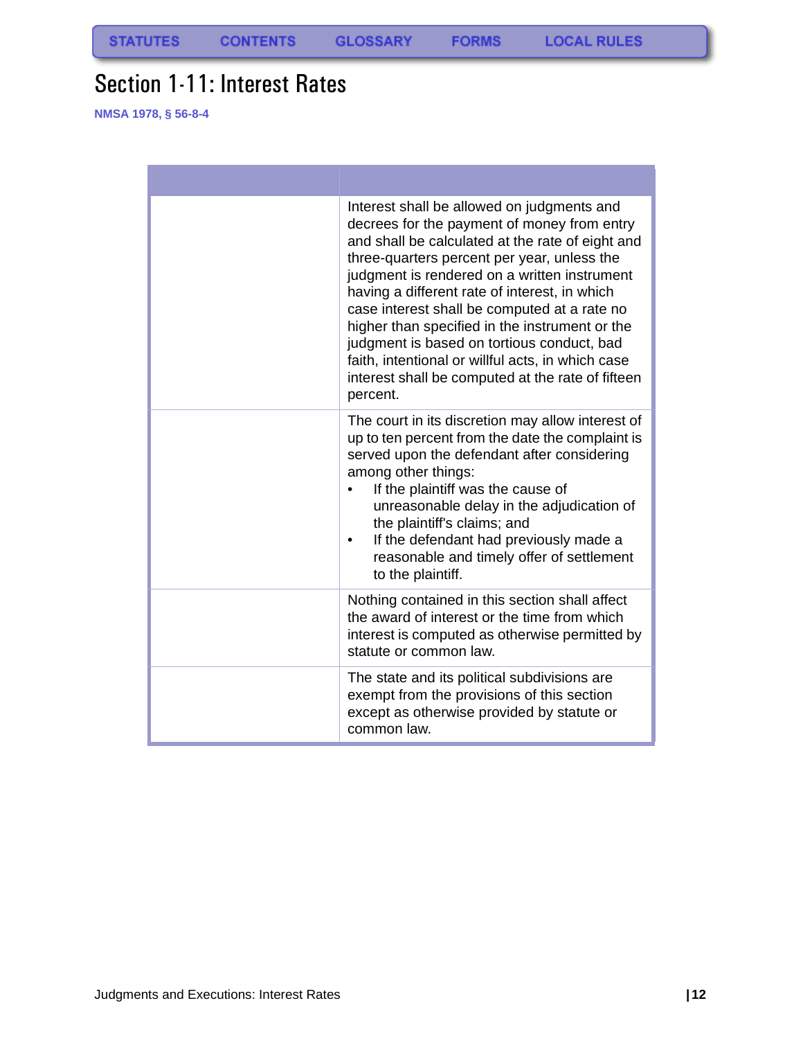### <span id="page-12-0"></span>Section 1-11: Interest Rates

**NMSA 1978, § 56-8-4**

| Interest shall be allowed on judgments and<br>decrees for the payment of money from entry<br>and shall be calculated at the rate of eight and<br>three-quarters percent per year, unless the<br>judgment is rendered on a written instrument<br>having a different rate of interest, in which<br>case interest shall be computed at a rate no<br>higher than specified in the instrument or the<br>judgment is based on tortious conduct, bad<br>faith, intentional or willful acts, in which case<br>interest shall be computed at the rate of fifteen<br>percent. |
|---------------------------------------------------------------------------------------------------------------------------------------------------------------------------------------------------------------------------------------------------------------------------------------------------------------------------------------------------------------------------------------------------------------------------------------------------------------------------------------------------------------------------------------------------------------------|
| The court in its discretion may allow interest of<br>up to ten percent from the date the complaint is<br>served upon the defendant after considering<br>among other things:<br>If the plaintiff was the cause of<br>unreasonable delay in the adjudication of<br>the plaintiff's claims; and<br>If the defendant had previously made a<br>reasonable and timely offer of settlement<br>to the plaintiff.                                                                                                                                                            |
| Nothing contained in this section shall affect<br>the award of interest or the time from which<br>interest is computed as otherwise permitted by<br>statute or common law.                                                                                                                                                                                                                                                                                                                                                                                          |
| The state and its political subdivisions are<br>exempt from the provisions of this section<br>except as otherwise provided by statute or<br>common law.                                                                                                                                                                                                                                                                                                                                                                                                             |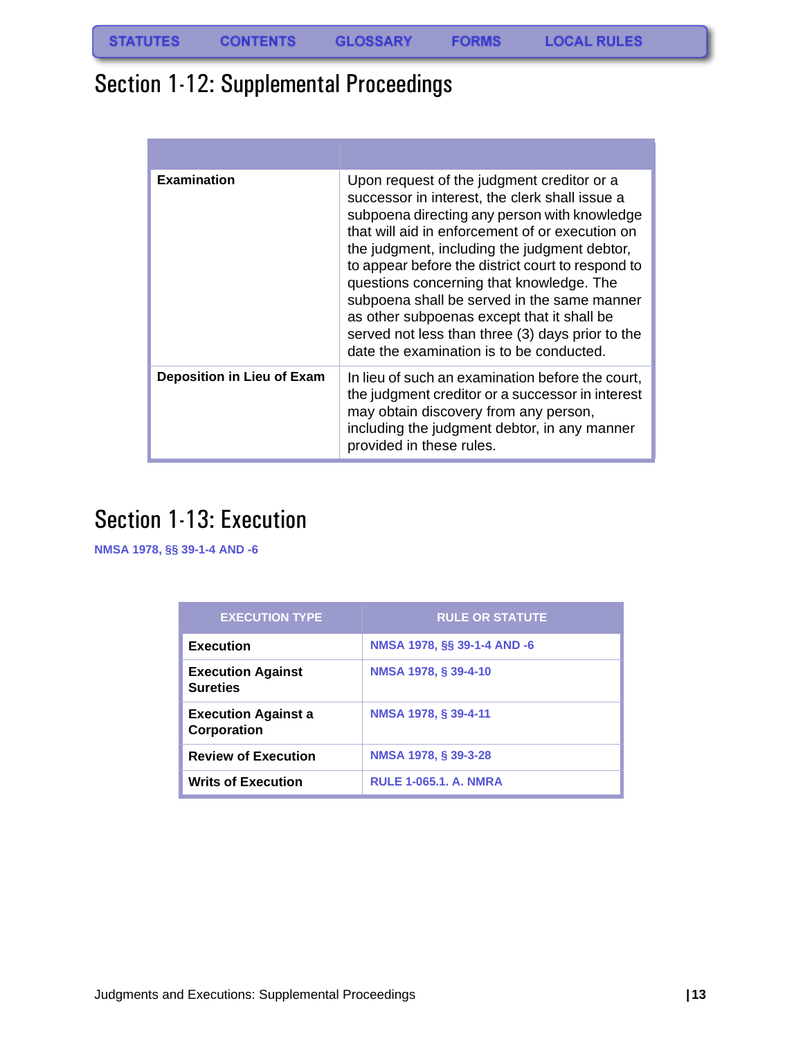### <span id="page-13-0"></span>Section 1-12: Supplemental Proceedings

| <b>Examination</b>                | Upon request of the judgment creditor or a<br>successor in interest, the clerk shall issue a<br>subpoena directing any person with knowledge<br>that will aid in enforcement of or execution on<br>the judgment, including the judgment debtor,<br>to appear before the district court to respond to<br>questions concerning that knowledge. The<br>subpoena shall be served in the same manner<br>as other subpoenas except that it shall be<br>served not less than three (3) days prior to the<br>date the examination is to be conducted. |
|-----------------------------------|-----------------------------------------------------------------------------------------------------------------------------------------------------------------------------------------------------------------------------------------------------------------------------------------------------------------------------------------------------------------------------------------------------------------------------------------------------------------------------------------------------------------------------------------------|
| <b>Deposition in Lieu of Exam</b> | In lieu of such an examination before the court,<br>the judgment creditor or a successor in interest<br>may obtain discovery from any person,<br>including the judgment debtor, in any manner<br>provided in these rules.                                                                                                                                                                                                                                                                                                                     |

### <span id="page-13-1"></span>Section 1-13: Execution

**NMSA 1978, §§ 39-1-4 AND -6**

| <b>EXECUTION TYPE</b>                       | <b>RULE OR STATUTE</b>       |
|---------------------------------------------|------------------------------|
| <b>Execution</b>                            | NMSA 1978, §§ 39-1-4 AND -6  |
| <b>Execution Against</b><br><b>Sureties</b> | NMSA 1978, § 39-4-10         |
| <b>Execution Against a</b><br>Corporation   | NMSA 1978, § 39-4-11         |
| <b>Review of Execution</b>                  | NMSA 1978, § 39-3-28         |
| <b>Writs of Execution</b>                   | <b>RULE 1-065.1. A. NMRA</b> |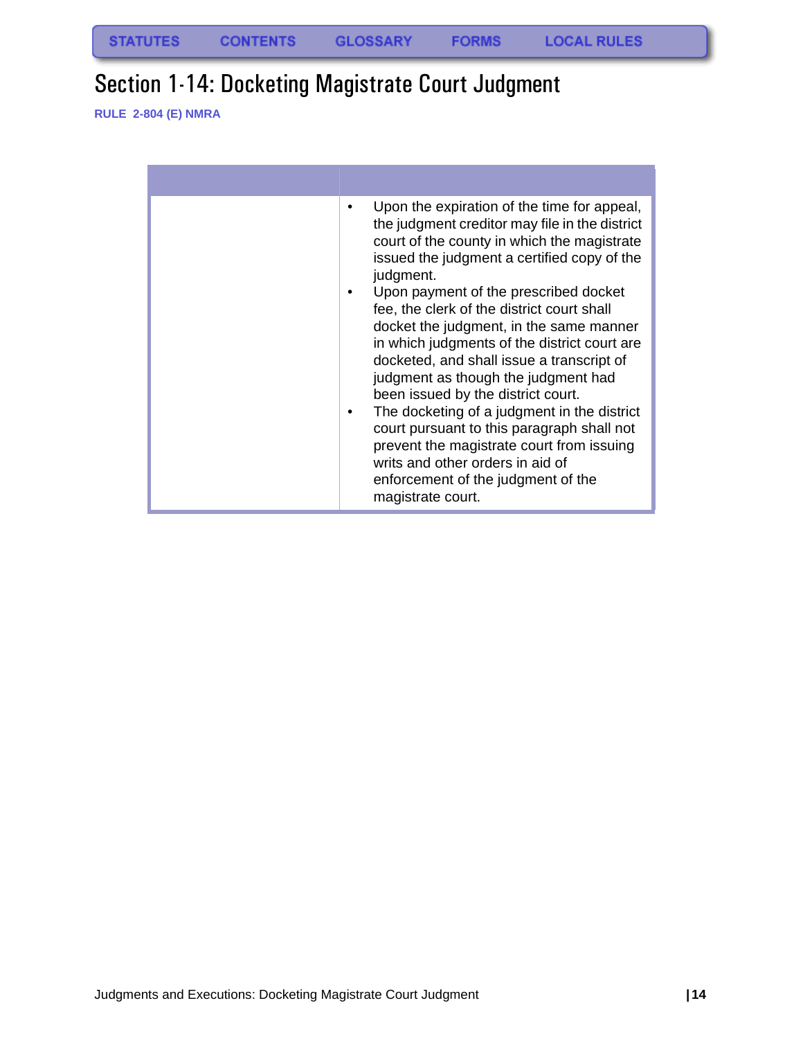### <span id="page-14-0"></span>Section 1-14: Docketing Magistrate Court Judgment

**RULE 2-804 (E) NMRA**

| Upon the expiration of the time for appeal,<br>the judgment creditor may file in the district<br>court of the county in which the magistrate<br>issued the judgment a certified copy of the<br>judgment.<br>Upon payment of the prescribed docket<br>fee, the clerk of the district court shall<br>docket the judgment, in the same manner<br>in which judgments of the district court are<br>docketed, and shall issue a transcript of<br>judgment as though the judgment had<br>been issued by the district court.<br>The docketing of a judgment in the district<br>court pursuant to this paragraph shall not<br>prevent the magistrate court from issuing<br>writs and other orders in aid of<br>enforcement of the judgment of the<br>magistrate court. |
|---------------------------------------------------------------------------------------------------------------------------------------------------------------------------------------------------------------------------------------------------------------------------------------------------------------------------------------------------------------------------------------------------------------------------------------------------------------------------------------------------------------------------------------------------------------------------------------------------------------------------------------------------------------------------------------------------------------------------------------------------------------|
|                                                                                                                                                                                                                                                                                                                                                                                                                                                                                                                                                                                                                                                                                                                                                               |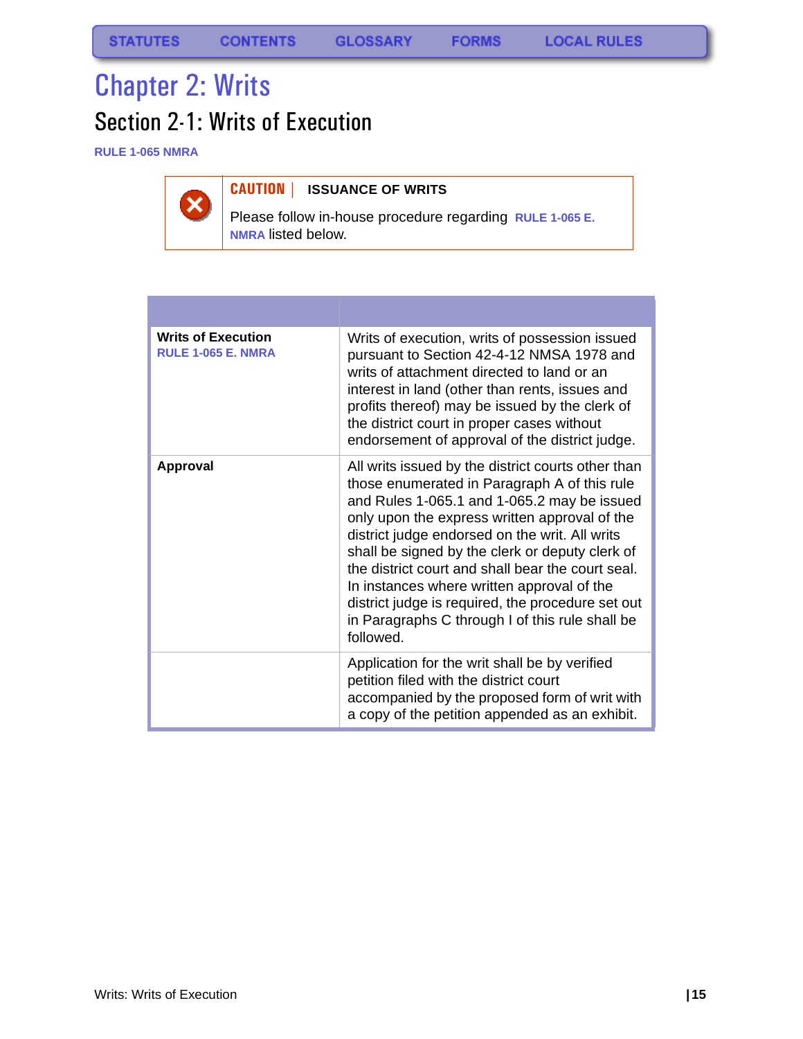**FORMS** 

# <span id="page-15-0"></span>Chapter 2: Writs

# <span id="page-15-1"></span>Section 2-1: Writs of Execution

**RULE 1-065 NMRA**



### **CAUTION | ISSUANCE OF WRITS**

Please follow in-house procedure regarding **RULE 1-065 E. NMRA** listed below.

| <b>Writs of Execution</b><br><b>RULE 1-065 E. NMRA</b> | Writs of execution, writs of possession issued<br>pursuant to Section 42-4-12 NMSA 1978 and<br>writs of attachment directed to land or an<br>interest in land (other than rents, issues and<br>profits thereof) may be issued by the clerk of<br>the district court in proper cases without<br>endorsement of approval of the district judge.                                                                                                                                                                                   |
|--------------------------------------------------------|---------------------------------------------------------------------------------------------------------------------------------------------------------------------------------------------------------------------------------------------------------------------------------------------------------------------------------------------------------------------------------------------------------------------------------------------------------------------------------------------------------------------------------|
| <b>Approval</b>                                        | All writs issued by the district courts other than<br>those enumerated in Paragraph A of this rule<br>and Rules 1-065.1 and 1-065.2 may be issued<br>only upon the express written approval of the<br>district judge endorsed on the writ. All writs<br>shall be signed by the clerk or deputy clerk of<br>the district court and shall bear the court seal.<br>In instances where written approval of the<br>district judge is required, the procedure set out<br>in Paragraphs C through I of this rule shall be<br>followed. |
|                                                        | Application for the writ shall be by verified<br>petition filed with the district court<br>accompanied by the proposed form of writ with<br>a copy of the petition appended as an exhibit.                                                                                                                                                                                                                                                                                                                                      |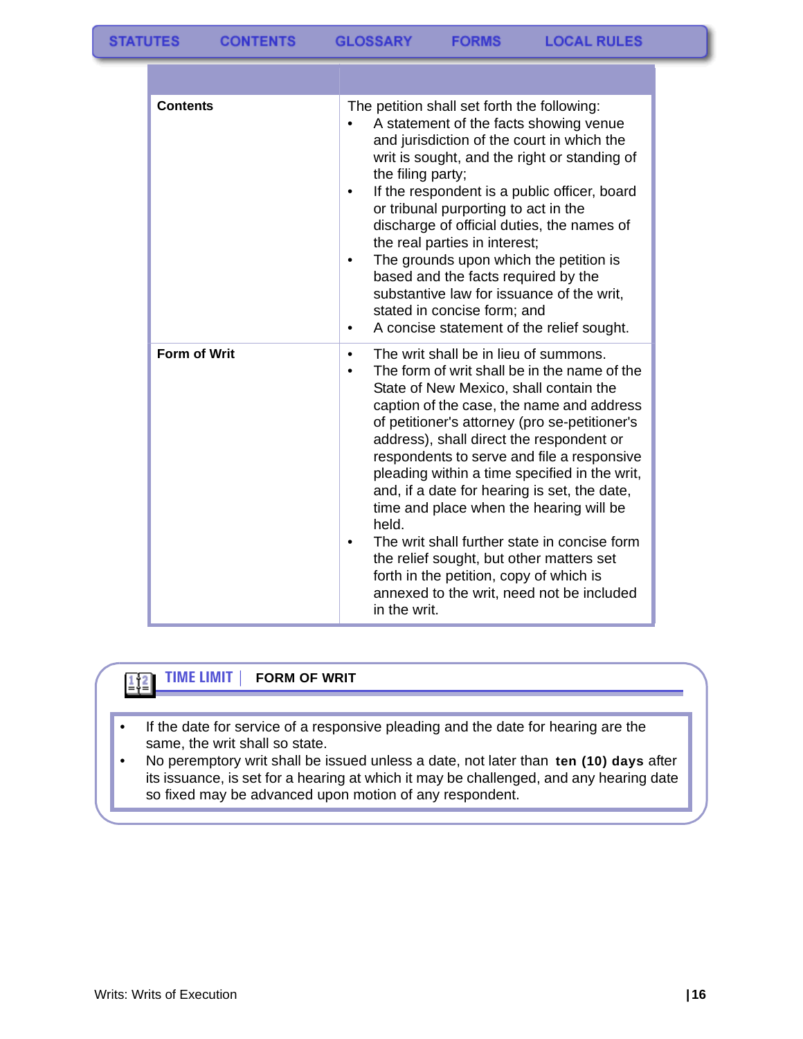| <b>Contents</b>     | The petition shall set forth the following:<br>A statement of the facts showing venue<br>and jurisdiction of the court in which the<br>writ is sought, and the right or standing of<br>the filing party;<br>If the respondent is a public officer, board<br>٠<br>or tribunal purporting to act in the<br>discharge of official duties, the names of<br>the real parties in interest;<br>The grounds upon which the petition is<br>based and the facts required by the<br>substantive law for issuance of the writ,<br>stated in concise form; and<br>A concise statement of the relief sought.                                                                                                                          |
|---------------------|-------------------------------------------------------------------------------------------------------------------------------------------------------------------------------------------------------------------------------------------------------------------------------------------------------------------------------------------------------------------------------------------------------------------------------------------------------------------------------------------------------------------------------------------------------------------------------------------------------------------------------------------------------------------------------------------------------------------------|
| <b>Form of Writ</b> | The writ shall be in lieu of summons.<br>$\bullet$<br>The form of writ shall be in the name of the<br>$\bullet$<br>State of New Mexico, shall contain the<br>caption of the case, the name and address<br>of petitioner's attorney (pro se-petitioner's<br>address), shall direct the respondent or<br>respondents to serve and file a responsive<br>pleading within a time specified in the writ,<br>and, if a date for hearing is set, the date,<br>time and place when the hearing will be<br>held.<br>The writ shall further state in concise form<br>$\bullet$<br>the relief sought, but other matters set<br>forth in the petition, copy of which is<br>annexed to the writ, need not be included<br>in the writ. |

#### **TIME LIMIT | FORM OF WRIT**

- If the date for service of a responsive pleading and the date for hearing are the same, the writ shall so state.
- No peremptory writ shall be issued unless a date, not later than **ten (10) days** after its issuance, is set for a hearing at which it may be challenged, and any hearing date so fixed may be advanced upon motion of any respondent.

 $\boxed{1}$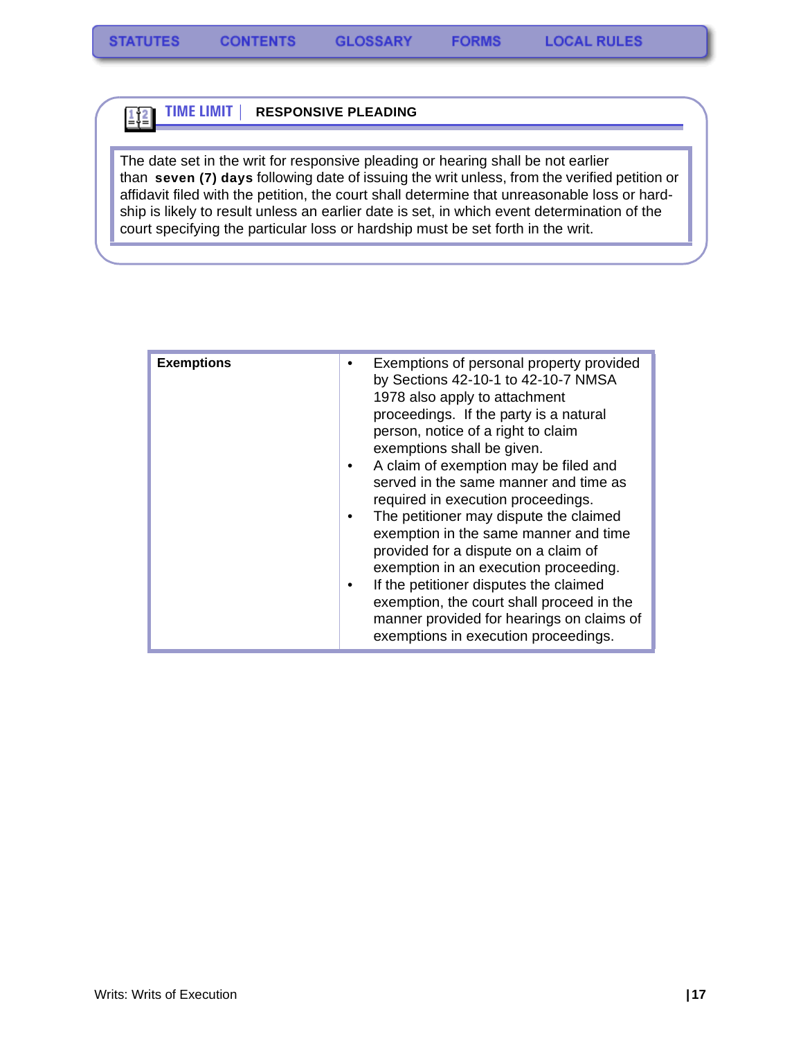$\frac{1}{2}$ 

#### **TIME LIMIT | RESPONSIVE PLEADING**

The date set in the writ for responsive pleading or hearing shall be not earlier than **seven (7) days** following date of issuing the writ unless, from the verified petition or affidavit filed with the petition, the court shall determine that unreasonable loss or hardship is likely to result unless an earlier date is set, in which event determination of the court specifying the particular loss or hardship must be set forth in the writ.

| <b>Exemptions</b> | Exemptions of personal property provided<br>by Sections 42-10-1 to 42-10-7 NMSA<br>1978 also apply to attachment<br>proceedings. If the party is a natural<br>person, notice of a right to claim<br>exemptions shall be given.                                                                                                                                                                                                                                                              |
|-------------------|---------------------------------------------------------------------------------------------------------------------------------------------------------------------------------------------------------------------------------------------------------------------------------------------------------------------------------------------------------------------------------------------------------------------------------------------------------------------------------------------|
|                   | A claim of exemption may be filed and<br>٠<br>served in the same manner and time as<br>required in execution proceedings.<br>The petitioner may dispute the claimed<br>$\bullet$<br>exemption in the same manner and time<br>provided for a dispute on a claim of<br>exemption in an execution proceeding.<br>If the petitioner disputes the claimed<br>٠<br>exemption, the court shall proceed in the<br>manner provided for hearings on claims of<br>exemptions in execution proceedings. |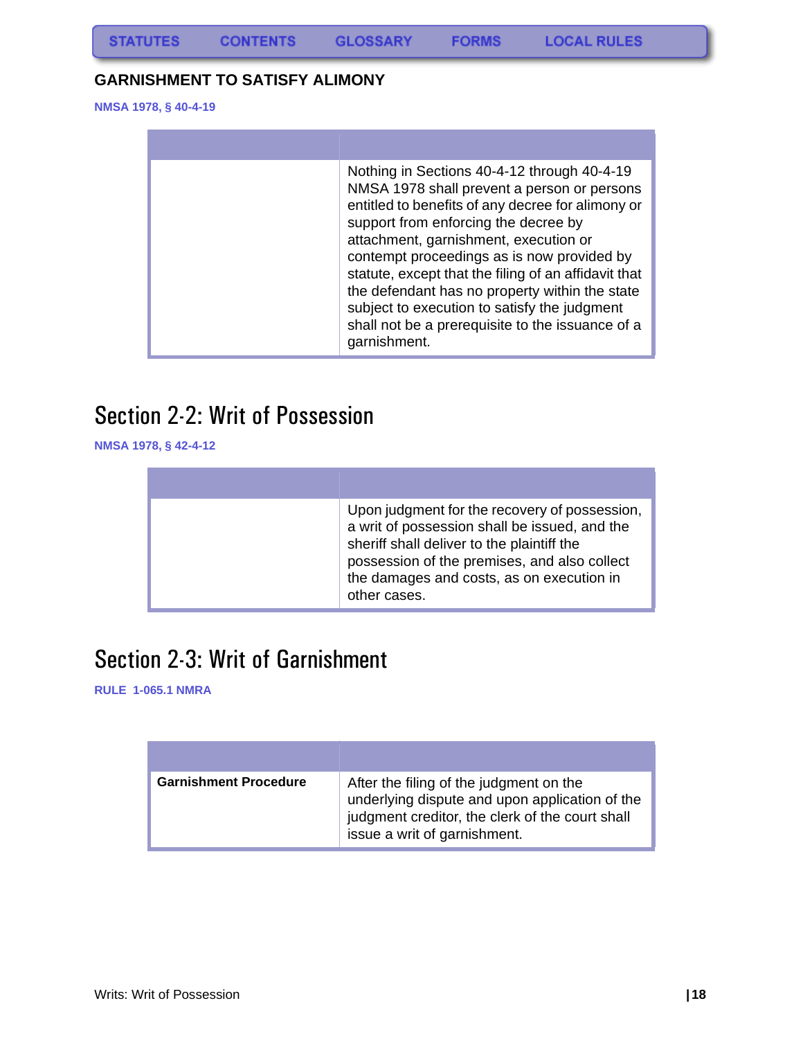### <span id="page-18-0"></span>**GARNISHMENT TO SATISFY ALIMONY**

**NMSA 1978, § 40-4-19**

| Nothing in Sections 40-4-12 through 40-4-19<br>NMSA 1978 shall prevent a person or persons<br>entitled to benefits of any decree for alimony or<br>support from enforcing the decree by<br>attachment, garnishment, execution or<br>contempt proceedings as is now provided by<br>statute, except that the filing of an affidavit that<br>the defendant has no property within the state<br>subject to execution to satisfy the judgment<br>shall not be a prerequisite to the issuance of a<br>garnishment. |
|--------------------------------------------------------------------------------------------------------------------------------------------------------------------------------------------------------------------------------------------------------------------------------------------------------------------------------------------------------------------------------------------------------------------------------------------------------------------------------------------------------------|
|                                                                                                                                                                                                                                                                                                                                                                                                                                                                                                              |

# <span id="page-18-1"></span>Section 2-2: Writ of Possession

**NMSA 1978, § 42-4-12**

| Upon judgment for the recovery of possession,<br>a writ of possession shall be issued, and the<br>sheriff shall deliver to the plaintiff the<br>possession of the premises, and also collect<br>the damages and costs, as on execution in<br>other cases. |
|-----------------------------------------------------------------------------------------------------------------------------------------------------------------------------------------------------------------------------------------------------------|

### <span id="page-18-2"></span>Section 2-3: Writ of Garnishment

**RULE 1-065.1 NMRA**

| <b>Garnishment Procedure</b> | After the filing of the judgment on the<br>underlying dispute and upon application of the<br>judgment creditor, the clerk of the court shall<br>issue a writ of garnishment. |
|------------------------------|------------------------------------------------------------------------------------------------------------------------------------------------------------------------------|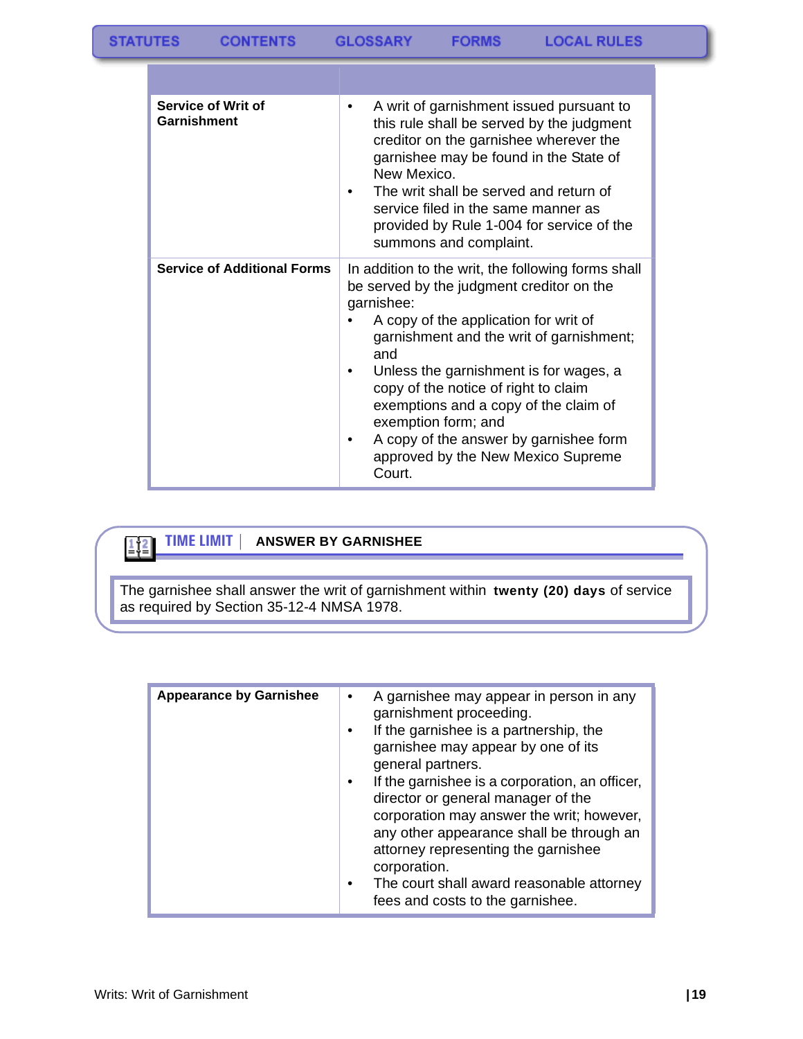| Service of Writ of<br>Garnishment  | A writ of garnishment issued pursuant to<br>٠<br>this rule shall be served by the judgment<br>creditor on the garnishee wherever the<br>garnishee may be found in the State of<br>New Mexico.<br>The writ shall be served and return of<br>٠<br>service filed in the same manner as<br>provided by Rule 1-004 for service of the<br>summons and complaint.                                                                                                      |
|------------------------------------|-----------------------------------------------------------------------------------------------------------------------------------------------------------------------------------------------------------------------------------------------------------------------------------------------------------------------------------------------------------------------------------------------------------------------------------------------------------------|
| <b>Service of Additional Forms</b> | In addition to the writ, the following forms shall<br>be served by the judgment creditor on the<br>garnishee:<br>A copy of the application for writ of<br>garnishment and the writ of garnishment;<br>and<br>Unless the garnishment is for wages, a<br>٠<br>copy of the notice of right to claim<br>exemptions and a copy of the claim of<br>exemption form; and<br>A copy of the answer by garnishee form<br>٠<br>approved by the New Mexico Supreme<br>Court. |

### $\frac{1}{2}$  $\frac{2}{2}$

#### **TIME LIMIT | ANSWER BY GARNISHEE**

The garnishee shall answer the writ of garnishment within **twenty (20) days** of service as required by Section 35-12-4 NMSA 1978.

| <b>Appearance by Garnishee</b> | A garnishee may appear in person in any<br>garnishment proceeding.<br>If the garnishee is a partnership, the<br>garnishee may appear by one of its<br>general partners.<br>If the garnishee is a corporation, an officer,<br>director or general manager of the<br>corporation may answer the writ; however,<br>any other appearance shall be through an<br>attorney representing the garnishee<br>corporation.<br>The court shall award reasonable attorney<br>fees and costs to the garnishee. |
|--------------------------------|--------------------------------------------------------------------------------------------------------------------------------------------------------------------------------------------------------------------------------------------------------------------------------------------------------------------------------------------------------------------------------------------------------------------------------------------------------------------------------------------------|
|                                |                                                                                                                                                                                                                                                                                                                                                                                                                                                                                                  |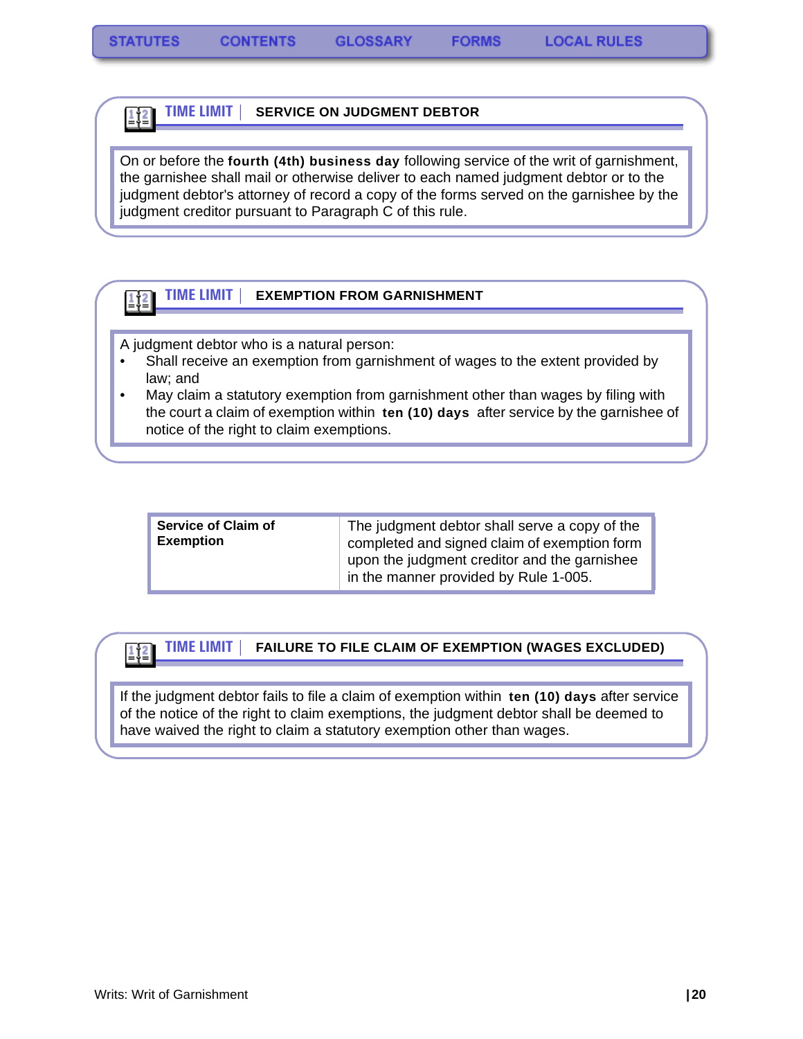1ț≧

#### **TIME LIMIT | SERVICE ON JUDGMENT DEBTOR**  $\frac{1}{2}$

On or before the **fourth (4th) business day** following service of the writ of garnishment, the garnishee shall mail or otherwise deliver to each named judgment debtor or to the judgment debtor's attorney of record a copy of the forms served on the garnishee by the judgment creditor pursuant to Paragraph C of this rule.

#### **TIME LIMIT | EXEMPTION FROM GARNISHMENT**

A judgment debtor who is a natural person:

- Shall receive an exemption from garnishment of wages to the extent provided by law; and
- May claim a statutory exemption from garnishment other than wages by filing with the court a claim of exemption within **ten (10) days** after service by the garnishee of notice of the right to claim exemptions.

| <b>Service of Claim of</b> | The judgment debtor shall serve a copy of the                                         |
|----------------------------|---------------------------------------------------------------------------------------|
| <b>Exemption</b>           | completed and signed claim of exemption form                                          |
|                            | upon the judgment creditor and the garnishee<br>in the manner provided by Rule 1-005. |

#### **TIME LIMIT | FAILURE TO FILE CLAIM OF EXEMPTION (WAGES EXCLUDED)**

If the judgment debtor fails to file a claim of exemption within **ten (10) days** after service of the notice of the right to claim exemptions, the judgment debtor shall be deemed to have waived the right to claim a statutory exemption other than wages.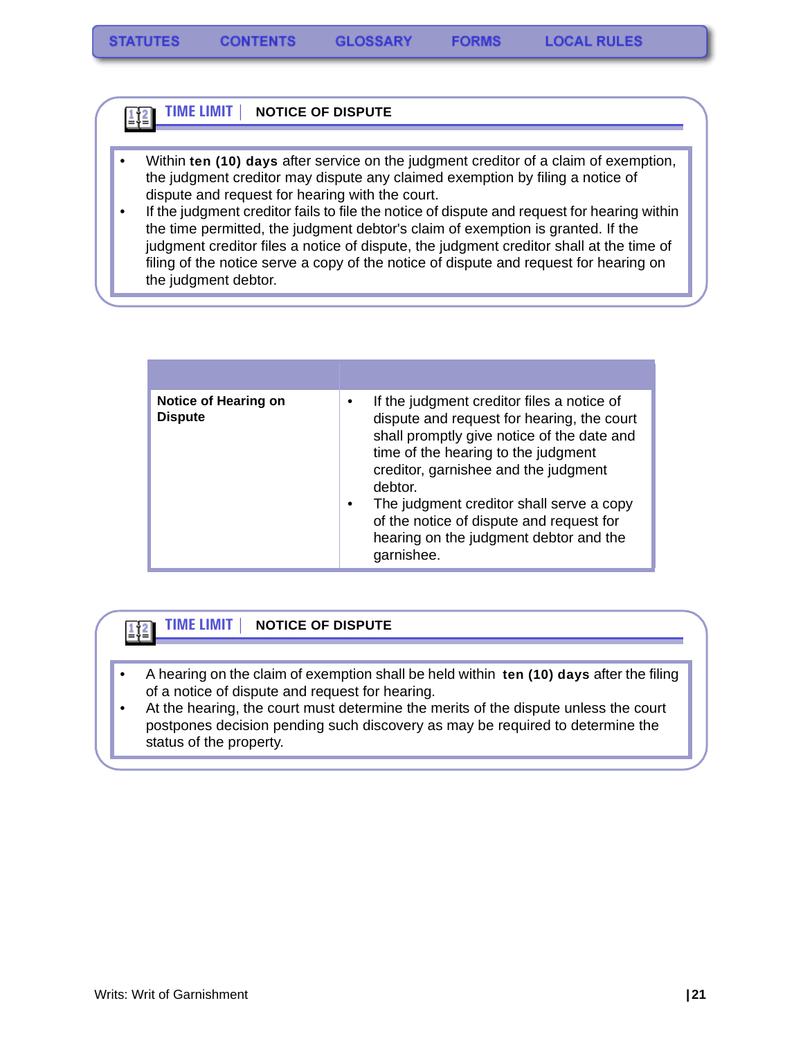#### **TIME LIMIT | NOTICE OF DISPUTE**  $\frac{1}{2}$

- Within **ten (10) days** after service on the judgment creditor of a claim of exemption, the judgment creditor may dispute any claimed exemption by filing a notice of dispute and request for hearing with the court.
- If the judgment creditor fails to file the notice of dispute and request for hearing within the time permitted, the judgment debtor's claim of exemption is granted. If the judgment creditor files a notice of dispute, the judgment creditor shall at the time of filing of the notice serve a copy of the notice of dispute and request for hearing on the judgment debtor.

| <b>Notice of Hearing on</b><br><b>Dispute</b> | If the judgment creditor files a notice of<br>$\bullet$<br>dispute and request for hearing, the court<br>shall promptly give notice of the date and<br>time of the hearing to the judgment<br>creditor, garnishee and the judgment<br>debtor.<br>The judgment creditor shall serve a copy<br>$\bullet$<br>of the notice of dispute and request for<br>hearing on the judgment debtor and the<br>garnishee. |
|-----------------------------------------------|------------------------------------------------------------------------------------------------------------------------------------------------------------------------------------------------------------------------------------------------------------------------------------------------------------------------------------------------------------------------------------------------------------|

#### **TIME LIMIT | NOTICE OF DISPUTE**  $\frac{1}{2}$  $\frac{2}{2}$

- A hearing on the claim of exemption shall be held within **ten (10) days** after the filing of a notice of dispute and request for hearing.
- At the hearing, the court must determine the merits of the dispute unless the court postpones decision pending such discovery as may be required to determine the status of the property.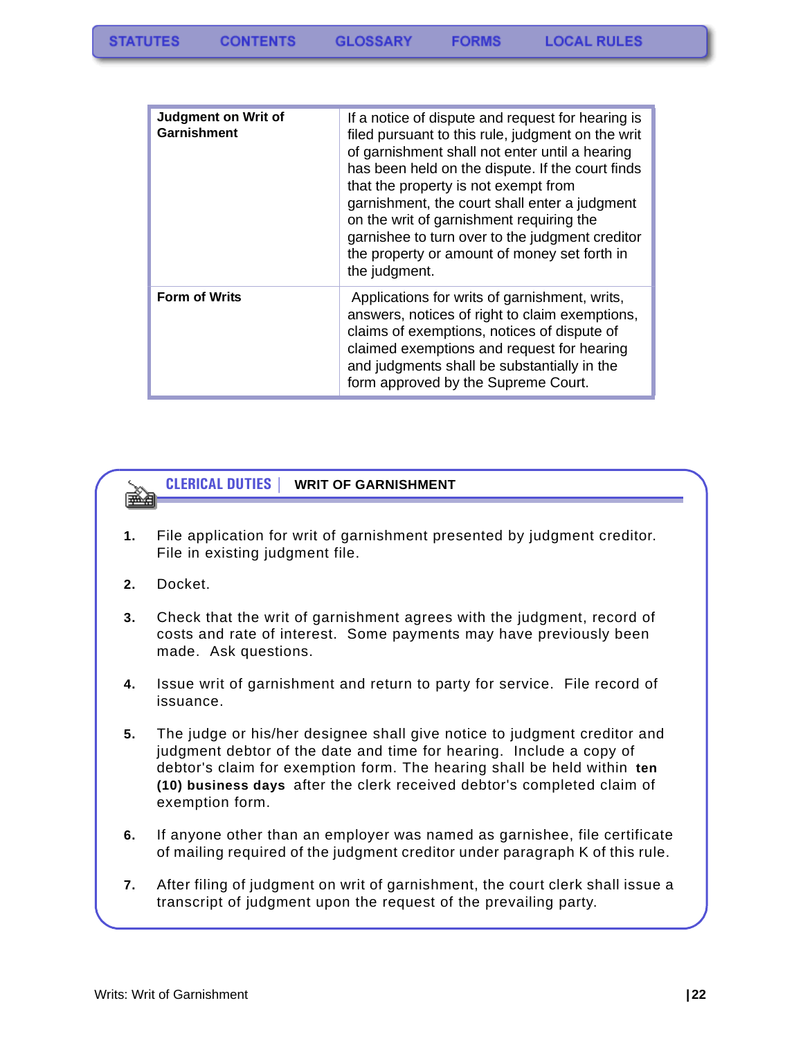| <b>Judgment on Writ of</b><br>Garnishment | If a notice of dispute and request for hearing is<br>filed pursuant to this rule, judgment on the writ<br>of garnishment shall not enter until a hearing<br>has been held on the dispute. If the court finds<br>that the property is not exempt from<br>garnishment, the court shall enter a judgment<br>on the writ of garnishment requiring the<br>garnishee to turn over to the judgment creditor<br>the property or amount of money set forth in<br>the judgment. |
|-------------------------------------------|-----------------------------------------------------------------------------------------------------------------------------------------------------------------------------------------------------------------------------------------------------------------------------------------------------------------------------------------------------------------------------------------------------------------------------------------------------------------------|
| <b>Form of Writs</b>                      | Applications for writs of garnishment, writs,<br>answers, notices of right to claim exemptions,<br>claims of exemptions, notices of dispute of<br>claimed exemptions and request for hearing<br>and judgments shall be substantially in the<br>form approved by the Supreme Court.                                                                                                                                                                                    |

#### **CLERICAL DUTIES | WRIT OF GARNISHMENT**

- **1.** File application for writ of garnishment presented by judgment creditor. File in existing judgment file.
- **2.** Docket.

要する

- **3.** Check that the writ of garnishment agrees with the judgment, record of costs and rate of interest. Some payments may have previously been made. Ask questions.
- **4.** Issue writ of garnishment and return to party for service. File record of issuance.
- **5.** The judge or his/her designee shall give notice to judgment creditor and judgment debtor of the date and time for hearing. Include a copy of debtor's claim for exemption form. The hearing shall be held within **ten (10) business days** after the clerk received debtor's completed claim of exemption form.
- **6.** If anyone other than an employer was named as garnishee, file certificate of mailing required of the judgment creditor under paragraph K of this rule.
- **7.** After filing of judgment on writ of garnishment, the court clerk shall issue a transcript of judgment upon the request of the prevailing party.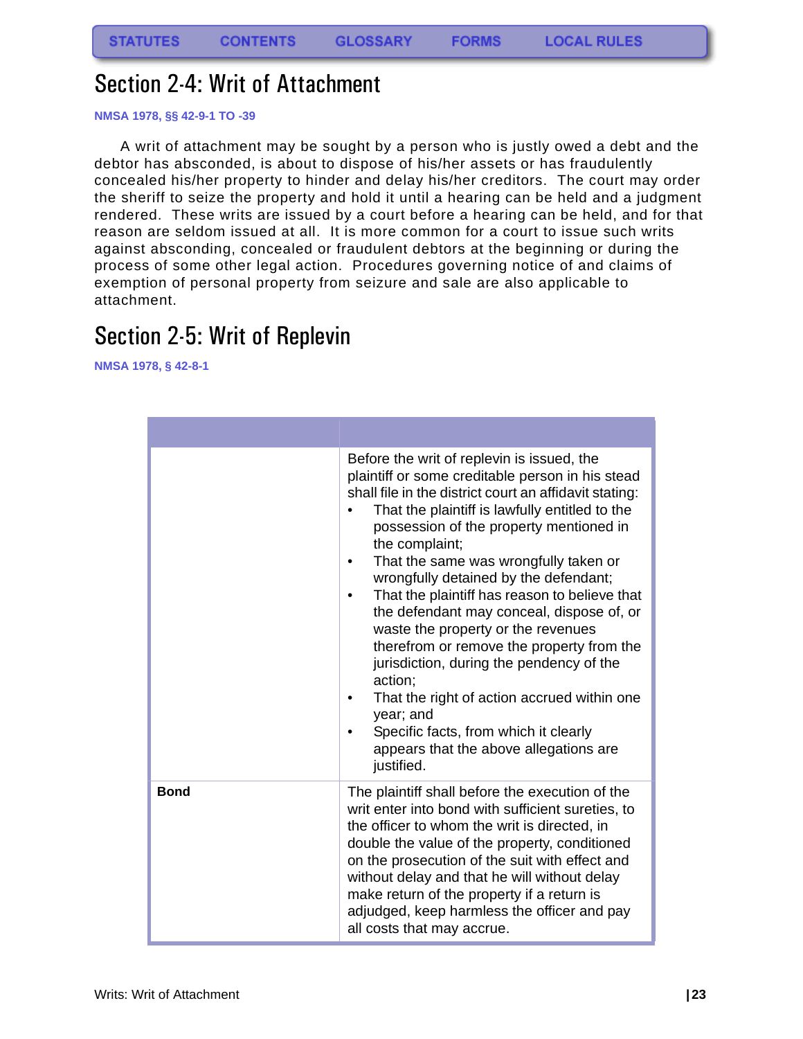### <span id="page-23-0"></span>Section 2-4: Writ of Attachment

#### **NMSA 1978, §§ 42-9-1 TO -39**

A writ of attachment may be sought by a person who is justly owed a debt and the debtor has absconded, is about to dispose of his/her assets or has fraudulently concealed his/her property to hinder and delay his/her creditors. The court may order the sheriff to seize the property and hold it until a hearing can be held and a judgment rendered. These writs are issued by a court before a hearing can be held, and for that reason are seldom issued at all. It is more common for a court to issue such writs against absconding, concealed or fraudulent debtors at the beginning or during the process of some other legal action. Procedures governing notice of and claims of exemption of personal property from seizure and sale are also applicable to attachment.

### <span id="page-23-1"></span>Section 2-5: Writ of Replevin

**NMSA 1978, § 42-8-1**

|             | Before the writ of replevin is issued, the<br>plaintiff or some creditable person in his stead<br>shall file in the district court an affidavit stating:<br>That the plaintiff is lawfully entitled to the<br>possession of the property mentioned in<br>the complaint;<br>That the same was wrongfully taken or<br>wrongfully detained by the defendant;<br>That the plaintiff has reason to believe that<br>the defendant may conceal, dispose of, or<br>waste the property or the revenues<br>therefrom or remove the property from the<br>jurisdiction, during the pendency of the<br>action;<br>That the right of action accrued within one<br>year; and<br>Specific facts, from which it clearly<br>appears that the above allegations are<br>justified. |
|-------------|----------------------------------------------------------------------------------------------------------------------------------------------------------------------------------------------------------------------------------------------------------------------------------------------------------------------------------------------------------------------------------------------------------------------------------------------------------------------------------------------------------------------------------------------------------------------------------------------------------------------------------------------------------------------------------------------------------------------------------------------------------------|
| <b>Bond</b> | The plaintiff shall before the execution of the<br>writ enter into bond with sufficient sureties, to<br>the officer to whom the writ is directed, in<br>double the value of the property, conditioned<br>on the prosecution of the suit with effect and<br>without delay and that he will without delay<br>make return of the property if a return is<br>adjudged, keep harmless the officer and pay<br>all costs that may accrue.                                                                                                                                                                                                                                                                                                                             |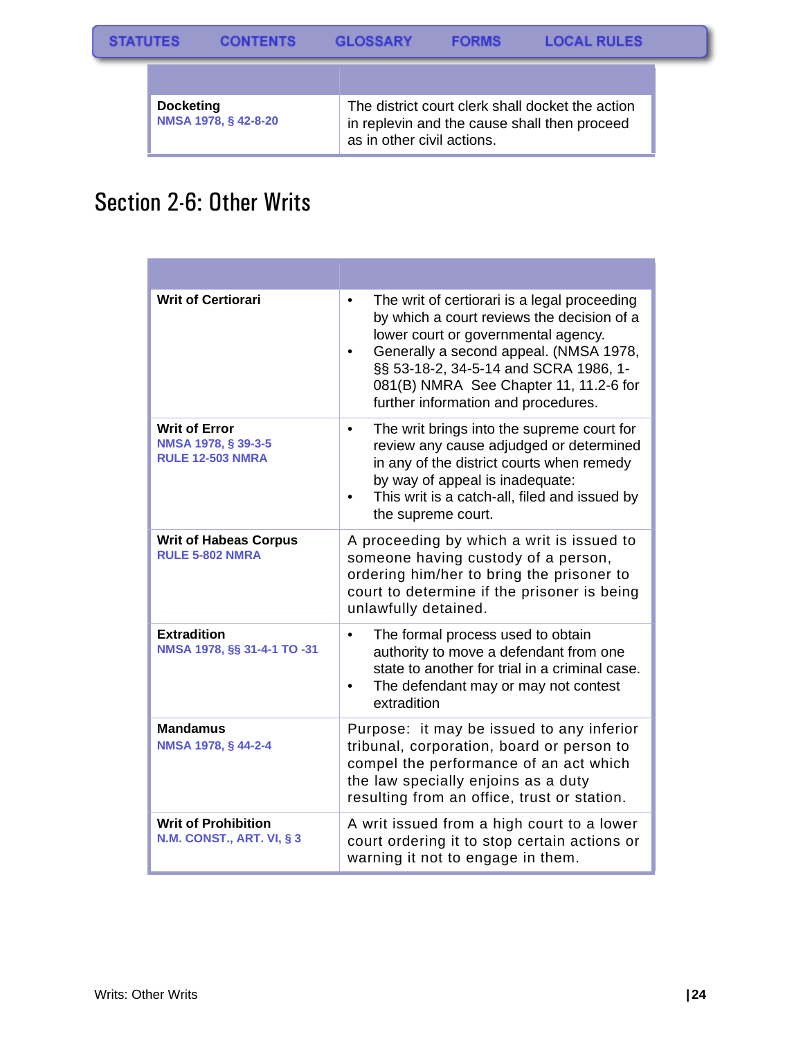| <b>Docketing</b><br>NMSA 1978, § 42-8-20 | The district court clerk shall docket the action<br>in replevin and the cause shall then proceed<br>as in other civil actions. |
|------------------------------------------|--------------------------------------------------------------------------------------------------------------------------------|

### <span id="page-24-0"></span>Section 2-6: Other Writs

| <b>Writ of Certiorari</b>                                              | The writ of certiorari is a legal proceeding<br>$\bullet$<br>by which a court reviews the decision of a<br>lower court or governmental agency.<br>Generally a second appeal. (NMSA 1978,<br>§§ 53-18-2, 34-5-14 and SCRA 1986, 1-<br>081(B) NMRA See Chapter 11, 11.2-6 for<br>further information and procedures. |
|------------------------------------------------------------------------|--------------------------------------------------------------------------------------------------------------------------------------------------------------------------------------------------------------------------------------------------------------------------------------------------------------------|
| <b>Writ of Error</b><br>NMSA 1978, § 39-3-5<br><b>RULE 12-503 NMRA</b> | The writ brings into the supreme court for<br>٠<br>review any cause adjudged or determined<br>in any of the district courts when remedy<br>by way of appeal is inadequate:<br>This writ is a catch-all, filed and issued by<br>the supreme court.                                                                  |
| <b>Writ of Habeas Corpus</b><br><b>RULE 5-802 NMRA</b>                 | A proceeding by which a writ is issued to<br>someone having custody of a person,<br>ordering him/her to bring the prisoner to<br>court to determine if the prisoner is being<br>unlawfully detained.                                                                                                               |
| <b>Extradition</b><br>NMSA 1978, §§ 31-4-1 TO -31                      | The formal process used to obtain<br>$\bullet$<br>authority to move a defendant from one<br>state to another for trial in a criminal case.<br>The defendant may or may not contest<br>extradition                                                                                                                  |
| <b>Mandamus</b><br>NMSA 1978, § 44-2-4                                 | Purpose: it may be issued to any inferior<br>tribunal, corporation, board or person to<br>compel the performance of an act which<br>the law specially enjoins as a duty<br>resulting from an office, trust or station.                                                                                             |
| <b>Writ of Prohibition</b><br><b>N.M. CONST., ART. VI, § 3</b>         | A writ issued from a high court to a lower<br>court ordering it to stop certain actions or<br>warning it not to engage in them.                                                                                                                                                                                    |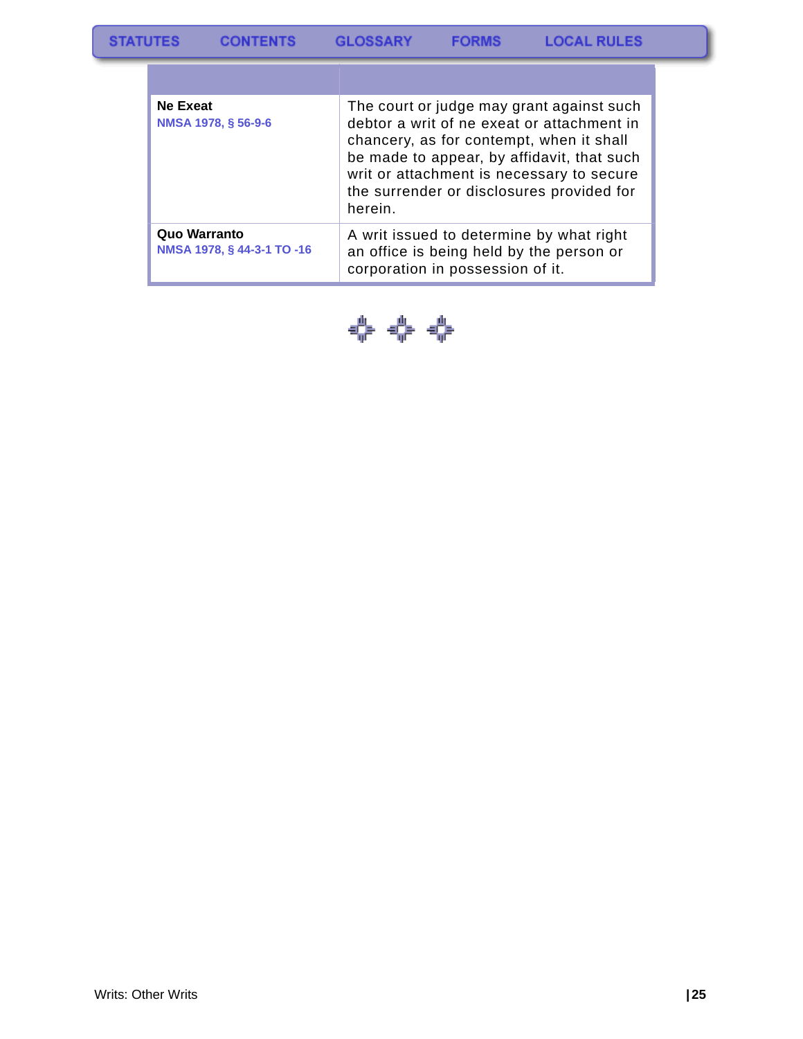| Ne Exeat<br>NMSA 1978, § 56-9-6            | The court or judge may grant against such<br>debtor a writ of ne exeat or attachment in<br>chancery, as for contempt, when it shall<br>be made to appear, by affidavit, that such<br>writ or attachment is necessary to secure<br>the surrender or disclosures provided for<br>herein. |
|--------------------------------------------|----------------------------------------------------------------------------------------------------------------------------------------------------------------------------------------------------------------------------------------------------------------------------------------|
| Quo Warranto<br>NMSA 1978, § 44-3-1 TO -16 | A writ issued to determine by what right<br>an office is being held by the person or<br>corporation in possession of it.                                                                                                                                                               |